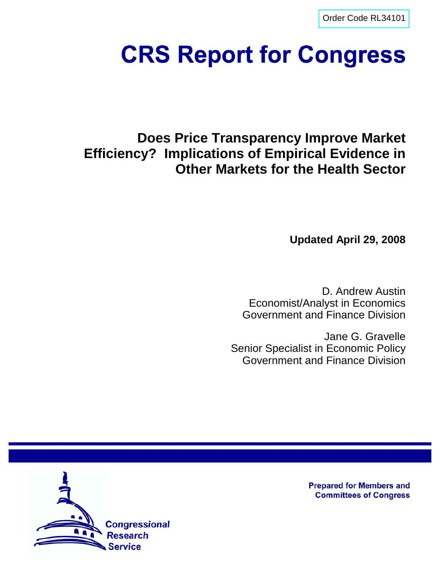[Order Code RL34101](http://www.fas.org/sgp/crs/misc/index.html)

# **CRS Report for Congress**

# **Does Price Transparency Improve Market Efficiency? Implications of Empirical Evidence in Other Markets for the Health Sector**

**Updated April 29, 2008**

D. Andrew Austin Economist/Analyst in Economics Government and Finance Division

Jane G. Gravelle Senior Specialist in Economic Policy Government and Finance Division



**Prepared for Members and Committees of Congress**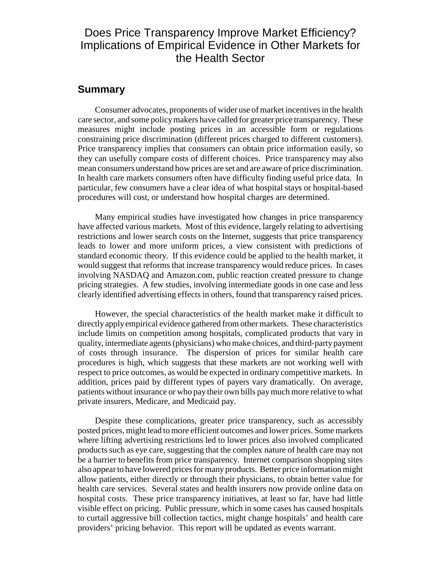# Does Price Transparency Improve Market Efficiency? Implications of Empirical Evidence in Other Markets for the Health Sector

# **Summary**

Consumer advocates, proponents of wider use of market incentives in the health care sector, and some policy makers have called for greater price transparency. These measures might include posting prices in an accessible form or regulations constraining price discrimination (different prices charged to different customers). Price transparency implies that consumers can obtain price information easily, so they can usefully compare costs of different choices. Price transparency may also mean consumers understand how prices are set and are aware of price discrimination. In health care markets consumers often have difficulty finding useful price data. In particular, few consumers have a clear idea of what hospital stays or hospital-based procedures will cost, or understand how hospital charges are determined.

Many empirical studies have investigated how changes in price transparency have affected various markets. Most of this evidence, largely relating to advertising restrictions and lower search costs on the Internet, suggests that price transparency leads to lower and more uniform prices, a view consistent with predictions of standard economic theory. If this evidence could be applied to the health market, it would suggest that reforms that increase transparency would reduce prices. In cases involving NASDAQ and Amazon.com, public reaction created pressure to change pricing strategies. A few studies, involving intermediate goods in one case and less clearly identified advertising effects in others, found that transparency raised prices.

However, the special characteristics of the health market make it difficult to directly apply empirical evidence gathered from other markets. These characteristics include limits on competition among hospitals, complicated products that vary in quality, intermediate agents (physicians) who make choices, and third-party payment of costs through insurance. The dispersion of prices for similar health care procedures is high, which suggests that these markets are not working well with respect to price outcomes, as would be expected in ordinary competitive markets. In addition, prices paid by different types of payers vary dramatically. On average, patients without insurance or who pay their own bills pay much more relative to what private insurers, Medicare, and Medicaid pay.

Despite these complications, greater price transparency, such as accessibly posted prices, might lead to more efficient outcomes and lower prices. Some markets where lifting advertising restrictions led to lower prices also involved complicated products such as eye care, suggesting that the complex nature of health care may not be a barrier to benefits from price transparency. Internet comparison shopping sites also appear to have lowered prices for many products. Better price information might allow patients, either directly or through their physicians, to obtain better value for health care services. Several states and health insurers now provide online data on hospital costs. These price transparency initiatives, at least so far, have had little visible effect on pricing. Public pressure, which in some cases has caused hospitals to curtail aggressive bill collection tactics, might change hospitals' and health care providers' pricing behavior. This report will be updated as events warrant.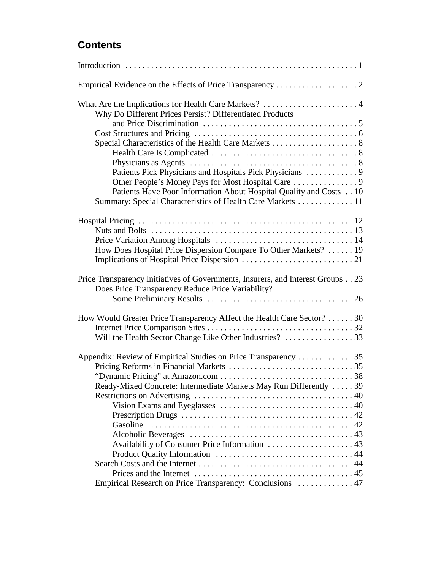# **Contents**

| Why Do Different Prices Persist? Differentiated Products                                                                             |
|--------------------------------------------------------------------------------------------------------------------------------------|
|                                                                                                                                      |
|                                                                                                                                      |
|                                                                                                                                      |
|                                                                                                                                      |
|                                                                                                                                      |
| Patients Pick Physicians and Hospitals Pick Physicians  9                                                                            |
| Patients Have Poor Information About Hospital Quality and Costs 10                                                                   |
| Summary: Special Characteristics of Health Care Markets 11                                                                           |
|                                                                                                                                      |
|                                                                                                                                      |
|                                                                                                                                      |
|                                                                                                                                      |
| How Does Hospital Price Dispersion Compare To Other Markets?  19                                                                     |
|                                                                                                                                      |
| Price Transparency Initiatives of Governments, Insurers, and Interest Groups 23<br>Does Price Transparency Reduce Price Variability? |
|                                                                                                                                      |
| How Would Greater Price Transparency Affect the Health Care Sector? 30                                                               |
|                                                                                                                                      |
|                                                                                                                                      |
| Appendix: Review of Empirical Studies on Price Transparency 35                                                                       |
|                                                                                                                                      |
|                                                                                                                                      |
| Ready-Mixed Concrete: Intermediate Markets May Run Differently  39                                                                   |
|                                                                                                                                      |
|                                                                                                                                      |
|                                                                                                                                      |
|                                                                                                                                      |
|                                                                                                                                      |
| Availability of Consumer Price Information  43                                                                                       |
|                                                                                                                                      |
|                                                                                                                                      |
| Empirical Research on Price Transparency: Conclusions  47                                                                            |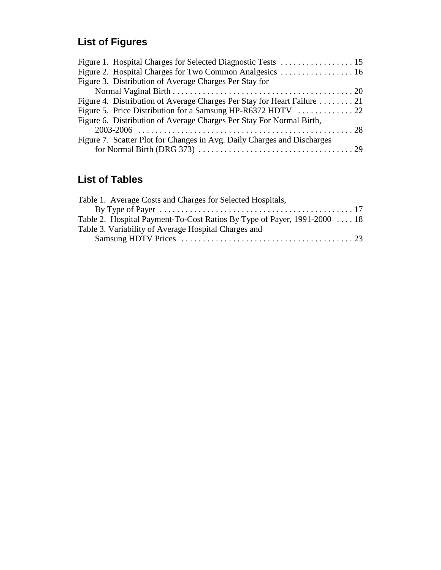# **List of Figures**

| Figure 3. Distribution of Average Charges Per Stay for                  |  |
|-------------------------------------------------------------------------|--|
|                                                                         |  |
| Figure 4. Distribution of Average Charges Per Stay for Heart Failure 21 |  |
|                                                                         |  |
| Figure 6. Distribution of Average Charges Per Stay For Normal Birth,    |  |
|                                                                         |  |
| Figure 7. Scatter Plot for Changes in Avg. Daily Charges and Discharges |  |
|                                                                         |  |

# **List of Tables**

| Table 1. Average Costs and Charges for Selected Hospitals,               |  |
|--------------------------------------------------------------------------|--|
|                                                                          |  |
| Table 2. Hospital Payment-To-Cost Ratios By Type of Payer, 1991-2000  18 |  |
| Table 3. Variability of Average Hospital Charges and                     |  |
|                                                                          |  |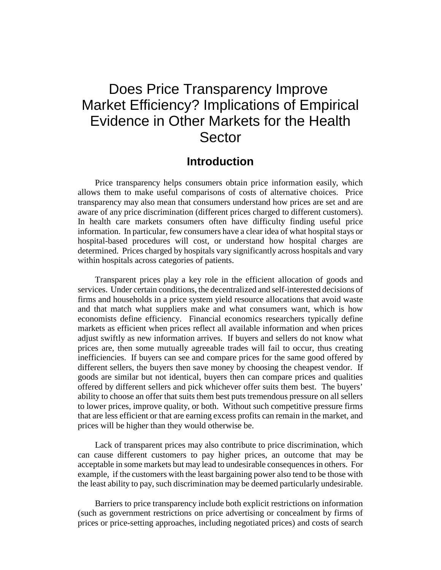# Does Price Transparency Improve Market Efficiency? Implications of Empirical Evidence in Other Markets for the Health **Sector**

# **Introduction**

Price transparency helps consumers obtain price information easily, which allows them to make useful comparisons of costs of alternative choices. Price transparency may also mean that consumers understand how prices are set and are aware of any price discrimination (different prices charged to different customers). In health care markets consumers often have difficulty finding useful price information. In particular, few consumers have a clear idea of what hospital stays or hospital-based procedures will cost, or understand how hospital charges are determined. Prices charged by hospitals vary significantly across hospitals and vary within hospitals across categories of patients.

Transparent prices play a key role in the efficient allocation of goods and services. Under certain conditions, the decentralized and self-interested decisions of firms and households in a price system yield resource allocations that avoid waste and that match what suppliers make and what consumers want, which is how economists define efficiency. Financial economics researchers typically define markets as efficient when prices reflect all available information and when prices adjust swiftly as new information arrives. If buyers and sellers do not know what prices are, then some mutually agreeable trades will fail to occur, thus creating inefficiencies. If buyers can see and compare prices for the same good offered by different sellers, the buyers then save money by choosing the cheapest vendor. If goods are similar but not identical, buyers then can compare prices and qualities offered by different sellers and pick whichever offer suits them best. The buyers' ability to choose an offer that suits them best puts tremendous pressure on all sellers to lower prices, improve quality, or both. Without such competitive pressure firms that are less efficient or that are earning excess profits can remain in the market, and prices will be higher than they would otherwise be.

Lack of transparent prices may also contribute to price discrimination, which can cause different customers to pay higher prices, an outcome that may be acceptable in some markets but may lead to undesirable consequences in others. For example, if the customers with the least bargaining power also tend to be those with the least ability to pay, such discrimination may be deemed particularly undesirable.

Barriers to price transparency include both explicit restrictions on information (such as government restrictions on price advertising or concealment by firms of prices or price-setting approaches, including negotiated prices) and costs of search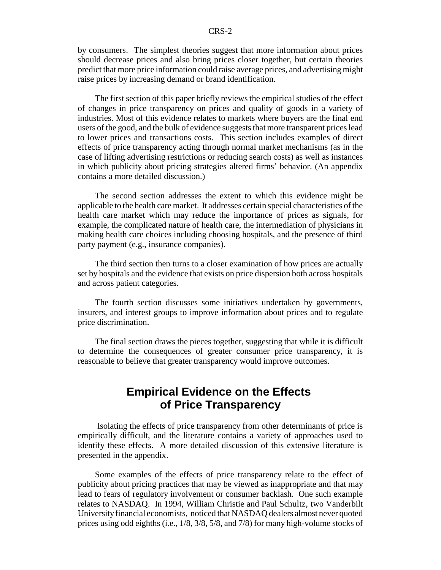by consumers. The simplest theories suggest that more information about prices should decrease prices and also bring prices closer together, but certain theories predict that more price information could raise average prices, and advertising might raise prices by increasing demand or brand identification.

The first section of this paper briefly reviews the empirical studies of the effect of changes in price transparency on prices and quality of goods in a variety of industries. Most of this evidence relates to markets where buyers are the final end users of the good, and the bulk of evidence suggests that more transparent prices lead to lower prices and transactions costs. This section includes examples of direct effects of price transparency acting through normal market mechanisms (as in the case of lifting advertising restrictions or reducing search costs) as well as instances in which publicity about pricing strategies altered firms' behavior. (An appendix contains a more detailed discussion.)

The second section addresses the extent to which this evidence might be applicable to the health care market. It addresses certain special characteristics of the health care market which may reduce the importance of prices as signals, for example, the complicated nature of health care, the intermediation of physicians in making health care choices including choosing hospitals, and the presence of third party payment (e.g., insurance companies).

The third section then turns to a closer examination of how prices are actually set by hospitals and the evidence that exists on price dispersion both across hospitals and across patient categories.

The fourth section discusses some initiatives undertaken by governments, insurers, and interest groups to improve information about prices and to regulate price discrimination.

The final section draws the pieces together, suggesting that while it is difficult to determine the consequences of greater consumer price transparency, it is reasonable to believe that greater transparency would improve outcomes.

# **Empirical Evidence on the Effects of Price Transparency**

 Isolating the effects of price transparency from other determinants of price is empirically difficult, and the literature contains a variety of approaches used to identify these effects. A more detailed discussion of this extensive literature is presented in the appendix.

Some examples of the effects of price transparency relate to the effect of publicity about pricing practices that may be viewed as inappropriate and that may lead to fears of regulatory involvement or consumer backlash. One such example relates to NASDAQ. In 1994, William Christie and Paul Schultz, two Vanderbilt University financial economists, noticed that NASDAQ dealers almost never quoted prices using odd eighths (i.e., 1/8, 3/8, 5/8, and 7/8) for many high-volume stocks of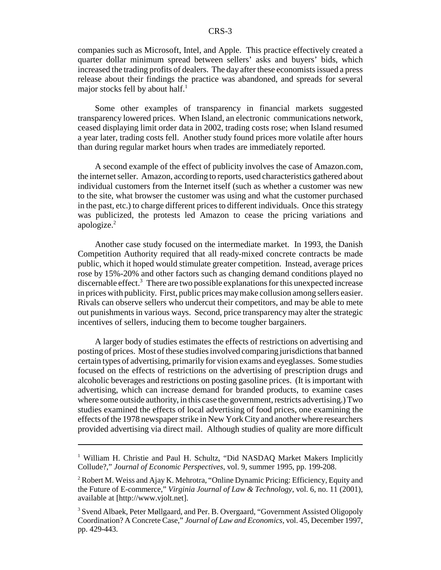companies such as Microsoft, Intel, and Apple. This practice effectively created a quarter dollar minimum spread between sellers' asks and buyers' bids, which increased the trading profits of dealers. The day after these economists issued a press release about their findings the practice was abandoned, and spreads for several major stocks fell by about half.<sup>1</sup>

Some other examples of transparency in financial markets suggested transparency lowered prices. When Island, an electronic communications network, ceased displaying limit order data in 2002, trading costs rose; when Island resumed a year later, trading costs fell. Another study found prices more volatile after hours than during regular market hours when trades are immediately reported.

A second example of the effect of publicity involves the case of Amazon.com, the internet seller. Amazon, according to reports, used characteristics gathered about individual customers from the Internet itself (such as whether a customer was new to the site, what browser the customer was using and what the customer purchased in the past, etc.) to charge different prices to different individuals. Once this strategy was publicized, the protests led Amazon to cease the pricing variations and apologize.2

Another case study focused on the intermediate market. In 1993, the Danish Competition Authority required that all ready-mixed concrete contracts be made public, which it hoped would stimulate greater competition. Instead, average prices rose by 15%-20% and other factors such as changing demand conditions played no discernable effect.<sup>3</sup> There are two possible explanations for this unexpected increase in prices with publicity. First, public prices may make collusion among sellers easier. Rivals can observe sellers who undercut their competitors, and may be able to mete out punishments in various ways. Second, price transparency may alter the strategic incentives of sellers, inducing them to become tougher bargainers.

A larger body of studies estimates the effects of restrictions on advertising and posting of prices. Most of these studies involved comparing jurisdictions that banned certain types of advertising, primarily for vision exams and eyeglasses. Some studies focused on the effects of restrictions on the advertising of prescription drugs and alcoholic beverages and restrictions on posting gasoline prices. (It is important with advertising, which can increase demand for branded products, to examine cases where some outside authority, in this case the government, restricts advertising.) Two studies examined the effects of local advertising of food prices, one examining the effects of the 1978 newspaper strike in New York City and another where researchers provided advertising via direct mail. Although studies of quality are more difficult

<sup>&</sup>lt;sup>1</sup> William H. Christie and Paul H. Schultz, "Did NASDAQ Market Makers Implicitly Collude?," *Journal of Economic Perspectives*, vol. 9, summer 1995, pp. 199-208.

 $2$  Robert M. Weiss and Ajay K. Mehrotra, "Online Dynamic Pricing: Efficiency, Equity and the Future of E-commerce," *Virginia Journal of Law & Technology*, vol. 6, no. 11 (2001), available at [http://www.vjolt.net].

<sup>&</sup>lt;sup>3</sup> Svend Albaek, Peter Møllgaard, and Per. B. Overgaard, "Government Assisted Oligopoly Coordination? A Concrete Case," *Journal of Law and Economics*, vol. 45, December 1997, pp. 429-443.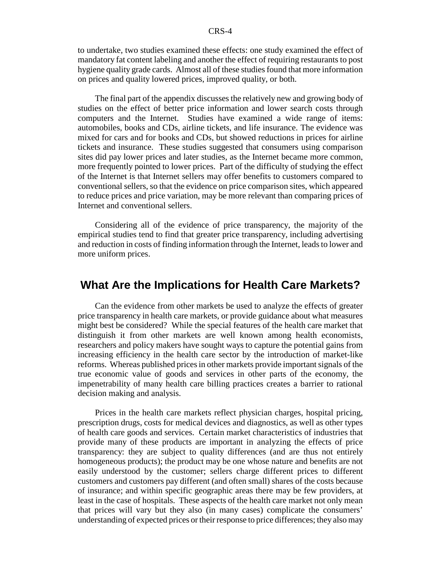to undertake, two studies examined these effects: one study examined the effect of mandatory fat content labeling and another the effect of requiring restaurants to post hygiene quality grade cards. Almost all of these studies found that more information on prices and quality lowered prices, improved quality, or both.

The final part of the appendix discusses the relatively new and growing body of studies on the effect of better price information and lower search costs through computers and the Internet. Studies have examined a wide range of items: automobiles, books and CDs, airline tickets, and life insurance. The evidence was mixed for cars and for books and CDs, but showed reductions in prices for airline tickets and insurance. These studies suggested that consumers using comparison sites did pay lower prices and later studies, as the Internet became more common, more frequently pointed to lower prices. Part of the difficulty of studying the effect of the Internet is that Internet sellers may offer benefits to customers compared to conventional sellers, so that the evidence on price comparison sites, which appeared to reduce prices and price variation, may be more relevant than comparing prices of Internet and conventional sellers.

Considering all of the evidence of price transparency, the majority of the empirical studies tend to find that greater price transparency, including advertising and reduction in costs of finding information through the Internet, leads to lower and more uniform prices.

# **What Are the Implications for Health Care Markets?**

Can the evidence from other markets be used to analyze the effects of greater price transparency in health care markets, or provide guidance about what measures might best be considered? While the special features of the health care market that distinguish it from other markets are well known among health economists, researchers and policy makers have sought ways to capture the potential gains from increasing efficiency in the health care sector by the introduction of market-like reforms. Whereas published prices in other markets provide important signals of the true economic value of goods and services in other parts of the economy, the impenetrability of many health care billing practices creates a barrier to rational decision making and analysis.

Prices in the health care markets reflect physician charges, hospital pricing, prescription drugs, costs for medical devices and diagnostics, as well as other types of health care goods and services. Certain market characteristics of industries that provide many of these products are important in analyzing the effects of price transparency: they are subject to quality differences (and are thus not entirely homogeneous products); the product may be one whose nature and benefits are not easily understood by the customer; sellers charge different prices to different customers and customers pay different (and often small) shares of the costs because of insurance; and within specific geographic areas there may be few providers, at least in the case of hospitals. These aspects of the health care market not only mean that prices will vary but they also (in many cases) complicate the consumers' understanding of expected prices or their response to price differences; they also may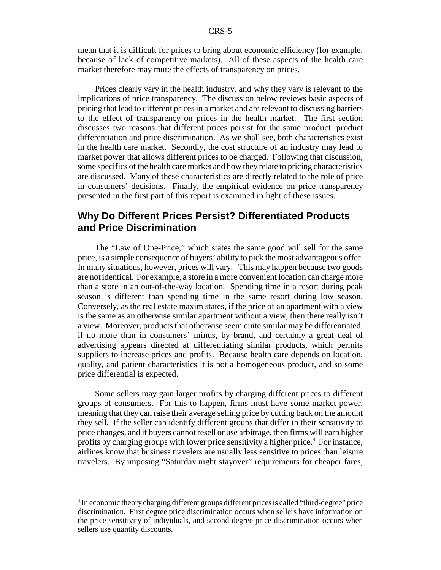mean that it is difficult for prices to bring about economic efficiency (for example, because of lack of competitive markets). All of these aspects of the health care market therefore may mute the effects of transparency on prices.

Prices clearly vary in the health industry, and why they vary is relevant to the implications of price transparency. The discussion below reviews basic aspects of pricing that lead to different prices in a market and are relevant to discussing barriers to the effect of transparency on prices in the health market. The first section discusses two reasons that different prices persist for the same product: product differentiation and price discrimination. As we shall see, both characteristics exist in the health care market. Secondly, the cost structure of an industry may lead to market power that allows different prices to be charged. Following that discussion, some specifics of the health care market and how they relate to pricing characteristics are discussed. Many of these characteristics are directly related to the role of price in consumers' decisions. Finally, the empirical evidence on price transparency presented in the first part of this report is examined in light of these issues.

# **Why Do Different Prices Persist? Differentiated Products and Price Discrimination**

The "Law of One-Price," which states the same good will sell for the same price, is a simple consequence of buyers' ability to pick the most advantageous offer. In many situations, however, prices will vary. This may happen because two goods are not identical. For example, a store in a more convenient location can charge more than a store in an out-of-the-way location. Spending time in a resort during peak season is different than spending time in the same resort during low season. Conversely, as the real estate maxim states, if the price of an apartment with a view is the same as an otherwise similar apartment without a view, then there really isn't a view. Moreover, products that otherwise seem quite similar may be differentiated, if no more than in consumers' minds, by brand, and certainly a great deal of advertising appears directed at differentiating similar products, which permits suppliers to increase prices and profits. Because health care depends on location, quality, and patient characteristics it is not a homogeneous product, and so some price differential is expected.

Some sellers may gain larger profits by charging different prices to different groups of consumers. For this to happen, firms must have some market power, meaning that they can raise their average selling price by cutting back on the amount they sell. If the seller can identify different groups that differ in their sensitivity to price changes, and if buyers cannot resell or use arbitrage, then firms will earn higher profits by charging groups with lower price sensitivity a higher price.<sup>4</sup> For instance, airlines know that business travelers are usually less sensitive to prices than leisure travelers. By imposing "Saturday night stayover" requirements for cheaper fares,

<sup>&</sup>lt;sup>4</sup> In economic theory charging different groups different prices is called "third-degree" price discrimination. First degree price discrimination occurs when sellers have information on the price sensitivity of individuals, and second degree price discrimination occurs when sellers use quantity discounts.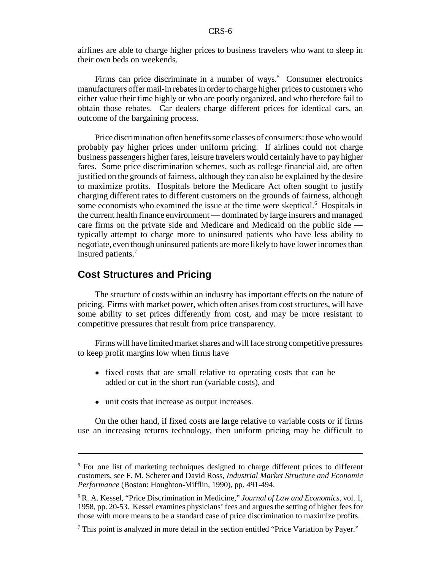airlines are able to charge higher prices to business travelers who want to sleep in their own beds on weekends.

Firms can price discriminate in a number of ways.<sup>5</sup> Consumer electronics manufacturers offer mail-in rebates in order to charge higher prices to customers who either value their time highly or who are poorly organized, and who therefore fail to obtain those rebates. Car dealers charge different prices for identical cars, an outcome of the bargaining process.

Price discrimination often benefits some classes of consumers: those who would probably pay higher prices under uniform pricing. If airlines could not charge business passengers higher fares, leisure travelers would certainly have to pay higher fares. Some price discrimination schemes, such as college financial aid, are often justified on the grounds of fairness, although they can also be explained by the desire to maximize profits. Hospitals before the Medicare Act often sought to justify charging different rates to different customers on the grounds of fairness, although some economists who examined the issue at the time were skeptical.<sup>6</sup> Hospitals in the current health finance environment — dominated by large insurers and managed care firms on the private side and Medicare and Medicaid on the public side typically attempt to charge more to uninsured patients who have less ability to negotiate, even though uninsured patients are more likely to have lower incomes than insured patients.<sup>7</sup>

# **Cost Structures and Pricing**

The structure of costs within an industry has important effects on the nature of pricing. Firms with market power, which often arises from cost structures, will have some ability to set prices differently from cost, and may be more resistant to competitive pressures that result from price transparency.

Firms will have limited market shares and will face strong competitive pressures to keep profit margins low when firms have

- fixed costs that are small relative to operating costs that can be added or cut in the short run (variable costs), and
- unit costs that increase as output increases.

On the other hand, if fixed costs are large relative to variable costs or if firms use an increasing returns technology, then uniform pricing may be difficult to

<sup>&</sup>lt;sup>5</sup> For one list of marketing techniques designed to charge different prices to different customers, see F. M. Scherer and David Ross, *Industrial Market Structure and Economic Performance* (Boston: Houghton-Mifflin, 1990), pp. 491-494.

<sup>6</sup> R. A. Kessel, "Price Discrimination in Medicine," *Journal of Law and Economics*, vol. 1, 1958, pp. 20-53. Kessel examines physicians' fees and argues the setting of higher fees for those with more means to be a standard case of price discrimination to maximize profits.

<sup>&</sup>lt;sup>7</sup> This point is analyzed in more detail in the section entitled "Price Variation by Payer."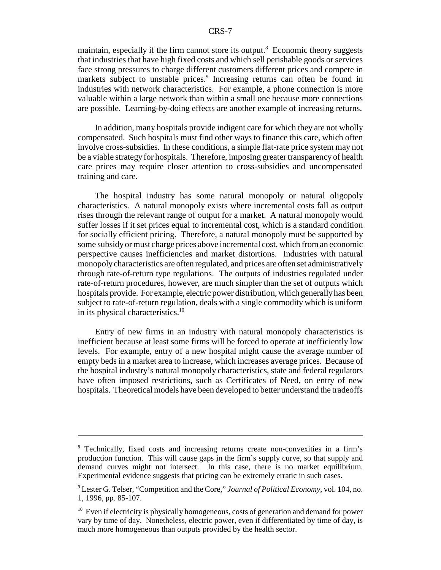maintain, especially if the firm cannot store its output.<sup>8</sup> Economic theory suggests that industries that have high fixed costs and which sell perishable goods or services face strong pressures to charge different customers different prices and compete in markets subject to unstable prices.<sup>9</sup> Increasing returns can often be found in industries with network characteristics. For example, a phone connection is more valuable within a large network than within a small one because more connections are possible. Learning-by-doing effects are another example of increasing returns.

In addition, many hospitals provide indigent care for which they are not wholly compensated. Such hospitals must find other ways to finance this care, which often involve cross-subsidies. In these conditions, a simple flat-rate price system may not be a viable strategy for hospitals. Therefore, imposing greater transparency of health care prices may require closer attention to cross-subsidies and uncompensated training and care.

The hospital industry has some natural monopoly or natural oligopoly characteristics. A natural monopoly exists where incremental costs fall as output rises through the relevant range of output for a market. A natural monopoly would suffer losses if it set prices equal to incremental cost, which is a standard condition for socially efficient pricing. Therefore, a natural monopoly must be supported by some subsidy or must charge prices above incremental cost, which from an economic perspective causes inefficiencies and market distortions. Industries with natural monopoly characteristics are often regulated, and prices are often set administratively through rate-of-return type regulations. The outputs of industries regulated under rate-of-return procedures, however, are much simpler than the set of outputs which hospitals provide. For example, electric power distribution, which generally has been subject to rate-of-return regulation, deals with a single commodity which is uniform in its physical characteristics.<sup>10</sup>

Entry of new firms in an industry with natural monopoly characteristics is inefficient because at least some firms will be forced to operate at inefficiently low levels. For example, entry of a new hospital might cause the average number of empty beds in a market area to increase, which increases average prices. Because of the hospital industry's natural monopoly characteristics, state and federal regulators have often imposed restrictions, such as Certificates of Need, on entry of new hospitals. Theoretical models have been developed to better understand the tradeoffs

<sup>8</sup> Technically, fixed costs and increasing returns create non-convexities in a firm's production function. This will cause gaps in the firm's supply curve, so that supply and demand curves might not intersect. In this case, there is no market equilibrium. Experimental evidence suggests that pricing can be extremely erratic in such cases.

<sup>9</sup> Lester G. Telser, "Competition and the Core," *Journal of Political Economy*, vol. 104, no. 1, 1996, pp. 85-107.

<sup>&</sup>lt;sup>10</sup> Even if electricity is physically homogeneous, costs of generation and demand for power vary by time of day. Nonetheless, electric power, even if differentiated by time of day, is much more homogeneous than outputs provided by the health sector.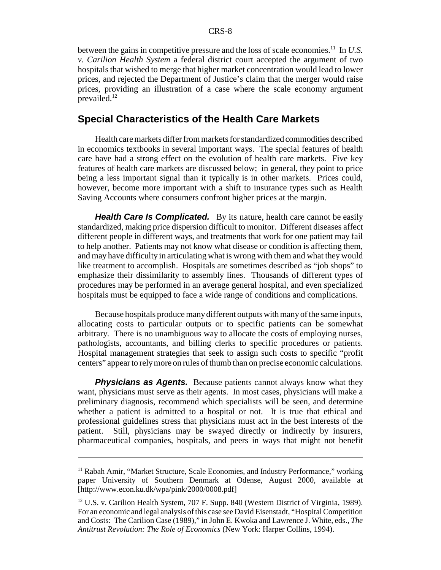between the gains in competitive pressure and the loss of scale economies.11 In *U.S. v. Carilion Health System* a federal district court accepted the argument of two hospitals that wished to merge that higher market concentration would lead to lower prices, and rejected the Department of Justice's claim that the merger would raise prices, providing an illustration of a case where the scale economy argument prevailed.12

#### **Special Characteristics of the Health Care Markets**

Health care markets differ from markets for standardized commodities described in economics textbooks in several important ways. The special features of health care have had a strong effect on the evolution of health care markets. Five key features of health care markets are discussed below; in general, they point to price being a less important signal than it typically is in other markets. Prices could, however, become more important with a shift to insurance types such as Health Saving Accounts where consumers confront higher prices at the margin.

*Health Care Is Complicated.* By its nature, health care cannot be easily standardized, making price dispersion difficult to monitor. Different diseases affect different people in different ways, and treatments that work for one patient may fail to help another. Patients may not know what disease or condition is affecting them, and may have difficulty in articulating what is wrong with them and what they would like treatment to accomplish. Hospitals are sometimes described as "job shops" to emphasize their dissimilarity to assembly lines. Thousands of different types of procedures may be performed in an average general hospital, and even specialized hospitals must be equipped to face a wide range of conditions and complications.

Because hospitals produce many different outputs with many of the same inputs, allocating costs to particular outputs or to specific patients can be somewhat arbitrary. There is no unambiguous way to allocate the costs of employing nurses, pathologists, accountants, and billing clerks to specific procedures or patients. Hospital management strategies that seek to assign such costs to specific "profit centers" appear to rely more on rules of thumb than on precise economic calculations.

**Physicians as Agents.** Because patients cannot always know what they want, physicians must serve as their agents. In most cases, physicians will make a preliminary diagnosis, recommend which specialists will be seen, and determine whether a patient is admitted to a hospital or not. It is true that ethical and professional guidelines stress that physicians must act in the best interests of the patient. Still, physicians may be swayed directly or indirectly by insurers, pharmaceutical companies, hospitals, and peers in ways that might not benefit

<sup>&</sup>lt;sup>11</sup> Rabah Amir, "Market Structure, Scale Economies, and Industry Performance," working paper University of Southern Denmark at Odense, August 2000, available at [http://www.econ.ku.dk/wpa/pink/2000/0008.pdf]

<sup>&</sup>lt;sup>12</sup> U.S. v. Carilion Health System, 707 F. Supp. 840 (Western District of Virginia, 1989). For an economic and legal analysis of this case see David Eisenstadt, "Hospital Competition and Costs: The Carilion Case (1989)," in John E. Kwoka and Lawrence J. White, eds., *The Antitrust Revolution: The Role of Economics* (New York: Harper Collins, 1994).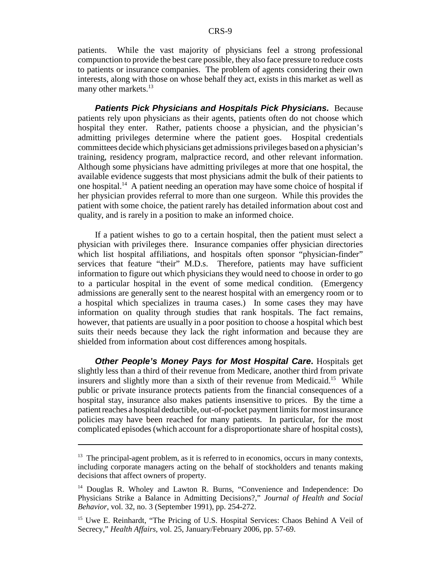patients. While the vast majority of physicians feel a strong professional compunction to provide the best care possible, they also face pressure to reduce costs to patients or insurance companies. The problem of agents considering their own interests, along with those on whose behalf they act, exists in this market as well as many other markets.<sup>13</sup>

*Patients Pick Physicians and Hospitals Pick Physicians.* Because patients rely upon physicians as their agents, patients often do not choose which hospital they enter. Rather, patients choose a physician, and the physician's admitting privileges determine where the patient goes. Hospital credentials committees decide which physicians get admissions privileges based on a physician's training, residency program, malpractice record, and other relevant information. Although some physicians have admitting privileges at more that one hospital, the available evidence suggests that most physicians admit the bulk of their patients to one hospital.14 A patient needing an operation may have some choice of hospital if her physician provides referral to more than one surgeon. While this provides the patient with some choice, the patient rarely has detailed information about cost and quality, and is rarely in a position to make an informed choice.

If a patient wishes to go to a certain hospital, then the patient must select a physician with privileges there. Insurance companies offer physician directories which list hospital affiliations, and hospitals often sponsor "physician-finder" services that feature "their" M.D.s. Therefore, patients may have sufficient information to figure out which physicians they would need to choose in order to go to a particular hospital in the event of some medical condition. (Emergency admissions are generally sent to the nearest hospital with an emergency room or to a hospital which specializes in trauma cases.) In some cases they may have information on quality through studies that rank hospitals. The fact remains, however, that patients are usually in a poor position to choose a hospital which best suits their needs because they lack the right information and because they are shielded from information about cost differences among hospitals.

*Other People's Money Pays for Most Hospital Care***.** Hospitals get slightly less than a third of their revenue from Medicare, another third from private insurers and slightly more than a sixth of their revenue from Medicaid.<sup>15</sup> While public or private insurance protects patients from the financial consequences of a hospital stay, insurance also makes patients insensitive to prices. By the time a patient reaches a hospital deductible, out-of-pocket payment limits for most insurance policies may have been reached for many patients. In particular, for the most complicated episodes (which account for a disproportionate share of hospital costs),

 $13$  The principal-agent problem, as it is referred to in economics, occurs in many contexts, including corporate managers acting on the behalf of stockholders and tenants making decisions that affect owners of property.

<sup>&</sup>lt;sup>14</sup> Douglas R. Wholey and Lawton R. Burns, "Convenience and Independence: Do Physicians Strike a Balance in Admitting Decisions?," *Journal of Health and Social Behavior*, vol. 32, no. 3 (September 1991), pp. 254-272.

<sup>&</sup>lt;sup>15</sup> Uwe E. Reinhardt, "The Pricing of U.S. Hospital Services: Chaos Behind A Veil of Secrecy," *Health Affairs,* vol. 25, January/February 2006, pp. 57-69.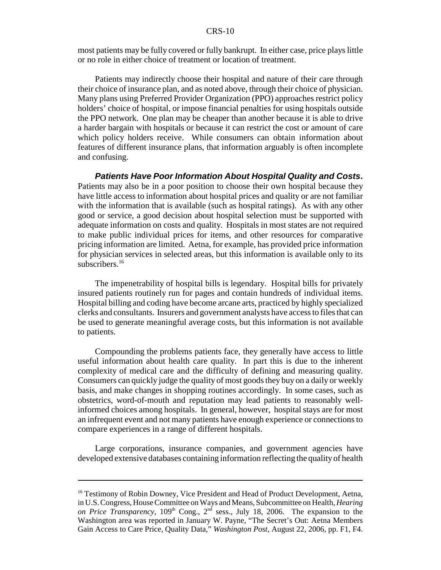most patients may be fully covered or fully bankrupt. In either case, price plays little or no role in either choice of treatment or location of treatment.

Patients may indirectly choose their hospital and nature of their care through their choice of insurance plan, and as noted above, through their choice of physician. Many plans using Preferred Provider Organization (PPO) approaches restrict policy holders' choice of hospital, or impose financial penalties for using hospitals outside the PPO network. One plan may be cheaper than another because it is able to drive a harder bargain with hospitals or because it can restrict the cost or amount of care which policy holders receive. While consumers can obtain information about features of different insurance plans, that information arguably is often incomplete and confusing.

*Patients Have Poor Information About Hospital Quality and Costs***.** Patients may also be in a poor position to choose their own hospital because they have little access to information about hospital prices and quality or are not familiar with the information that is available (such as hospital ratings). As with any other good or service, a good decision about hospital selection must be supported with adequate information on costs and quality. Hospitals in most states are not required to make public individual prices for items, and other resources for comparative pricing information are limited. Aetna, for example, has provided price information for physician services in selected areas, but this information is available only to its subscribers.<sup>16</sup>

The impenetrability of hospital bills is legendary. Hospital bills for privately insured patients routinely run for pages and contain hundreds of individual items. Hospital billing and coding have become arcane arts, practiced by highly specialized clerks and consultants. Insurers and government analysts have access to files that can be used to generate meaningful average costs, but this information is not available to patients.

Compounding the problems patients face, they generally have access to little useful information about health care quality. In part this is due to the inherent complexity of medical care and the difficulty of defining and measuring quality. Consumers can quickly judge the quality of most goods they buy on a daily or weekly basis, and make changes in shopping routines accordingly. In some cases, such as obstetrics, word-of-mouth and reputation may lead patients to reasonably wellinformed choices among hospitals. In general, however, hospital stays are for most an infrequent event and not many patients have enough experience or connections to compare experiences in a range of different hospitals.

Large corporations, insurance companies, and government agencies have developed extensive databases containing information reflecting the quality of health

<sup>&</sup>lt;sup>16</sup> Testimony of Robin Downey, Vice President and Head of Product Development, Aetna, in U.S. Congress, House Committee on Ways and Means, Subcommittee on Health, *Hearing on Price Transparency*, 109<sup>th</sup> Cong., 2<sup>nd</sup> sess., July 18, 2006. The expansion to the Washington area was reported in January W. Payne, "The Secret's Out: Aetna Members Gain Access to Care Price, Quality Data," *Washington Post*, August 22, 2006, pp. F1, F4.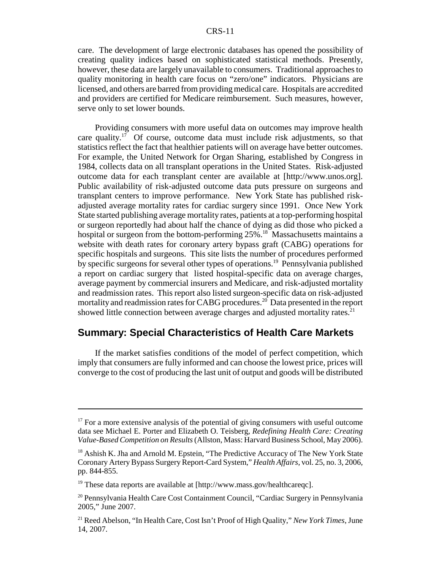care. The development of large electronic databases has opened the possibility of creating quality indices based on sophisticated statistical methods. Presently, however, these data are largely unavailable to consumers. Traditional approaches to quality monitoring in health care focus on "zero/one" indicators. Physicians are licensed, and others are barred from providing medical care. Hospitals are accredited and providers are certified for Medicare reimbursement. Such measures, however, serve only to set lower bounds.

Providing consumers with more useful data on outcomes may improve health care quality.<sup>17</sup> Of course, outcome data must include risk adjustments, so that statistics reflect the fact that healthier patients will on average have better outcomes. For example, the United Network for Organ Sharing, established by Congress in 1984, collects data on all transplant operations in the United States. Risk-adjusted outcome data for each transplant center are available at [http://www.unos.org]. Public availability of risk-adjusted outcome data puts pressure on surgeons and transplant centers to improve performance. New York State has published riskadjusted average mortality rates for cardiac surgery since 1991. Once New York State started publishing average mortality rates, patients at a top-performing hospital or surgeon reportedly had about half the chance of dying as did those who picked a hospital or surgeon from the bottom-performing 25%.<sup>18</sup> Massachusetts maintains a website with death rates for coronary artery bypass graft (CABG) operations for specific hospitals and surgeons. This site lists the number of procedures performed by specific surgeons for several other types of operations.19 Pennsylvania published a report on cardiac surgery that listed hospital-specific data on average charges, average payment by commercial insurers and Medicare, and risk-adjusted mortality and readmission rates. This report also listed surgeon-specific data on risk-adjusted mortality and readmission rates for CABG procedures.<sup>20</sup> Data presented in the report showed little connection between average charges and adjusted mortality rates.<sup>21</sup>

# **Summary: Special Characteristics of Health Care Markets**

If the market satisfies conditions of the model of perfect competition, which imply that consumers are fully informed and can choose the lowest price, prices will converge to the cost of producing the last unit of output and goods will be distributed

 $17$  For a more extensive analysis of the potential of giving consumers with useful outcome data see Michael E. Porter and Elizabeth O. Teisberg, *Redefining Health Care: Creating Value-Based Competition on Results* (Allston, Mass: Harvard Business School, May 2006).

<sup>&</sup>lt;sup>18</sup> Ashish K. Jha and Arnold M. Epstein, "The Predictive Accuracy of The New York State Coronary Artery Bypass Surgery Report-Card System," *Health Affairs*, vol. 25, no. 3, 2006, pp. 844-855.

<sup>&</sup>lt;sup>19</sup> These data reports are available at [http://www.mass.gov/healthcareqc].

<sup>&</sup>lt;sup>20</sup> Pennsylvania Health Care Cost Containment Council, "Cardiac Surgery in Pennsylvania 2005," June 2007.

<sup>21</sup> Reed Abelson, "In Health Care, Cost Isn't Proof of High Quality," *New York Times*, June 14, 2007.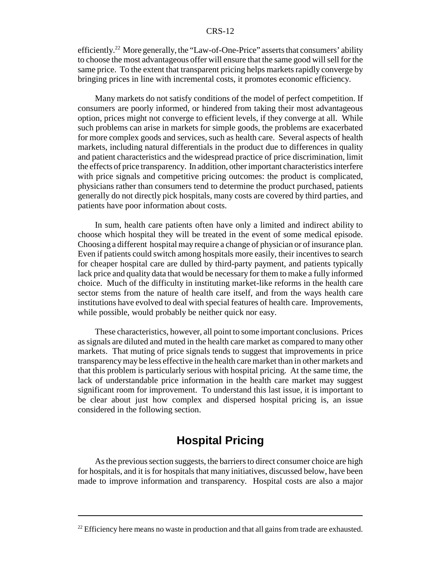efficiently.22 More generally, the "Law-of-One-Price" asserts that consumers' ability to choose the most advantageous offer will ensure that the same good will sell for the same price. To the extent that transparent pricing helps markets rapidly converge by bringing prices in line with incremental costs, it promotes economic efficiency.

Many markets do not satisfy conditions of the model of perfect competition. If consumers are poorly informed, or hindered from taking their most advantageous option, prices might not converge to efficient levels, if they converge at all. While such problems can arise in markets for simple goods, the problems are exacerbated for more complex goods and services, such as health care. Several aspects of health markets, including natural differentials in the product due to differences in quality and patient characteristics and the widespread practice of price discrimination, limit the effects of price transparency. In addition, other important characteristics interfere with price signals and competitive pricing outcomes: the product is complicated, physicians rather than consumers tend to determine the product purchased, patients generally do not directly pick hospitals, many costs are covered by third parties, and patients have poor information about costs.

 In sum, health care patients often have only a limited and indirect ability to choose which hospital they will be treated in the event of some medical episode. Choosing a different hospital may require a change of physician or of insurance plan. Even if patients could switch among hospitals more easily, their incentives to search for cheaper hospital care are dulled by third-party payment, and patients typically lack price and quality data that would be necessary for them to make a fully informed choice. Much of the difficulty in instituting market-like reforms in the health care sector stems from the nature of health care itself, and from the ways health care institutions have evolved to deal with special features of health care. Improvements, while possible, would probably be neither quick nor easy.

These characteristics, however, all point to some important conclusions. Prices as signals are diluted and muted in the health care market as compared to many other markets. That muting of price signals tends to suggest that improvements in price transparency may be less effective in the health care market than in other markets and that this problem is particularly serious with hospital pricing. At the same time, the lack of understandable price information in the health care market may suggest significant room for improvement. To understand this last issue, it is important to be clear about just how complex and dispersed hospital pricing is, an issue considered in the following section.

# **Hospital Pricing**

As the previous section suggests, the barriers to direct consumer choice are high for hospitals, and it is for hospitals that many initiatives, discussed below, have been made to improve information and transparency. Hospital costs are also a major

<sup>&</sup>lt;sup>22</sup> Efficiency here means no waste in production and that all gains from trade are exhausted.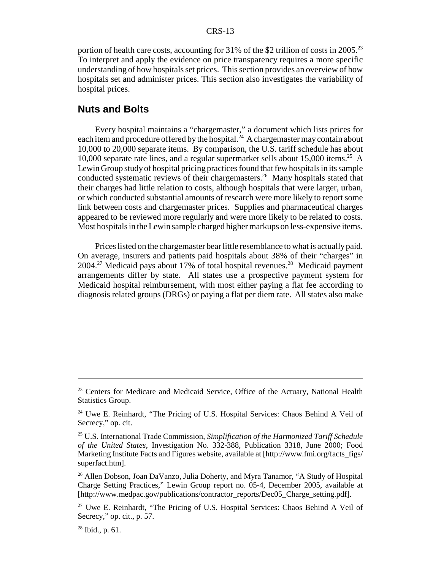portion of health care costs, accounting for  $31\%$  of the \$2 trillion of costs in 2005.<sup>23</sup> To interpret and apply the evidence on price transparency requires a more specific understanding of how hospitals set prices. This section provides an overview of how hospitals set and administer prices. This section also investigates the variability of hospital prices.

## **Nuts and Bolts**

Every hospital maintains a "chargemaster," a document which lists prices for each item and procedure offered by the hospital.<sup>24</sup> A chargemaster may contain about 10,000 to 20,000 separate items. By comparison, the U.S. tariff schedule has about 10,000 separate rate lines, and a regular supermarket sells about  $15,000$  items.<sup>25</sup> A Lewin Group study of hospital pricing practices found that few hospitals in its sample conducted systematic reviews of their chargemasters.<sup>26</sup> Many hospitals stated that their charges had little relation to costs, although hospitals that were larger, urban, or which conducted substantial amounts of research were more likely to report some link between costs and chargemaster prices. Supplies and pharmaceutical charges appeared to be reviewed more regularly and were more likely to be related to costs. Most hospitals in the Lewin sample charged higher markups on less-expensive items.

Prices listed on the chargemaster bear little resemblance to what is actually paid. On average, insurers and patients paid hospitals about 38% of their "charges" in  $2004.<sup>27</sup>$  Medicaid pays about 17% of total hospital revenues.<sup>28</sup> Medicaid payment arrangements differ by state. All states use a prospective payment system for Medicaid hospital reimbursement, with most either paying a flat fee according to diagnosis related groups (DRGs) or paying a flat per diem rate. All states also make

<sup>&</sup>lt;sup>23</sup> Centers for Medicare and Medicaid Service, Office of the Actuary, National Health Statistics Group.

<sup>&</sup>lt;sup>24</sup> Uwe E. Reinhardt, "The Pricing of U.S. Hospital Services: Chaos Behind A Veil of Secrecy," op. cit.

<sup>25</sup> U.S. International Trade Commission, *Simplification of the Harmonized Tariff Schedule of the United States*, Investigation No. 332-388, Publication 3318, June 2000; Food Marketing Institute Facts and Figures website, available at [http://www.fmi.org/facts\_figs/ superfact.htm].

<sup>&</sup>lt;sup>26</sup> Allen Dobson, Joan DaVanzo, Julia Doherty, and Myra Tanamor, "A Study of Hospital Charge Setting Practices," Lewin Group report no. 05-4, December 2005, available at [http://www.medpac.gov/publications/contractor\_reports/Dec05\_Charge\_setting.pdf].

 $27$  Uwe E. Reinhardt, "The Pricing of U.S. Hospital Services: Chaos Behind A Veil of Secrecy," op. cit., p. 57.

 $28$  Ibid., p. 61.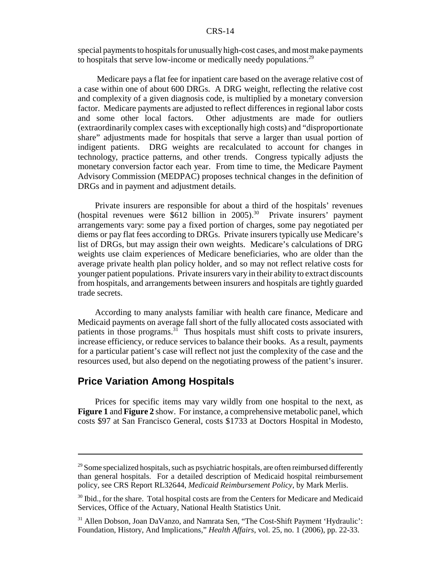special payments to hospitals for unusually high-cost cases, and most make payments to hospitals that serve low-income or medically needy populations.<sup>29</sup>

 Medicare pays a flat fee for inpatient care based on the average relative cost of a case within one of about 600 DRGs. A DRG weight, reflecting the relative cost and complexity of a given diagnosis code, is multiplied by a monetary conversion factor. Medicare payments are adjusted to reflect differences in regional labor costs and some other local factors. Other adjustments are made for outliers (extraordinarily complex cases with exceptionally high costs) and "disproportionate share" adjustments made for hospitals that serve a larger than usual portion of indigent patients. DRG weights are recalculated to account for changes in technology, practice patterns, and other trends. Congress typically adjusts the monetary conversion factor each year. From time to time, the Medicare Payment Advisory Commission (MEDPAC) proposes technical changes in the definition of DRGs and in payment and adjustment details.

Private insurers are responsible for about a third of the hospitals' revenues (hospital revenues were  $$612$  billion in 2005).<sup>30</sup> Private insurers' payment arrangements vary: some pay a fixed portion of charges, some pay negotiated per diems or pay flat fees according to DRGs. Private insurers typically use Medicare's list of DRGs, but may assign their own weights. Medicare's calculations of DRG weights use claim experiences of Medicare beneficiaries, who are older than the average private health plan policy holder, and so may not reflect relative costs for younger patient populations. Private insurers vary in their ability to extract discounts from hospitals, and arrangements between insurers and hospitals are tightly guarded trade secrets.

According to many analysts familiar with health care finance, Medicare and Medicaid payments on average fall short of the fully allocated costs associated with patients in those programs. $31$  Thus hospitals must shift costs to private insurers, increase efficiency, or reduce services to balance their books. As a result, payments for a particular patient's case will reflect not just the complexity of the case and the resources used, but also depend on the negotiating prowess of the patient's insurer.

## **Price Variation Among Hospitals**

Prices for specific items may vary wildly from one hospital to the next, as **Figure 1** and **Figure 2** show. For instance, a comprehensive metabolic panel, which costs \$97 at San Francisco General, costs \$1733 at Doctors Hospital in Modesto,

 $29$  Some specialized hospitals, such as psychiatric hospitals, are often reimbursed differently than general hospitals. For a detailed description of Medicaid hospital reimbursement policy, see CRS Report RL32644, *Medicaid Reimbursement Policy*, by Mark Merlis.

<sup>&</sup>lt;sup>30</sup> Ibid., for the share. Total hospital costs are from the Centers for Medicare and Medicaid Services, Office of the Actuary, National Health Statistics Unit.

<sup>&</sup>lt;sup>31</sup> Allen Dobson, Joan DaVanzo, and Namrata Sen, "The Cost-Shift Payment 'Hydraulic': Foundation, History, And Implications," *Health Affairs*, vol. 25, no. 1 (2006), pp. 22-33.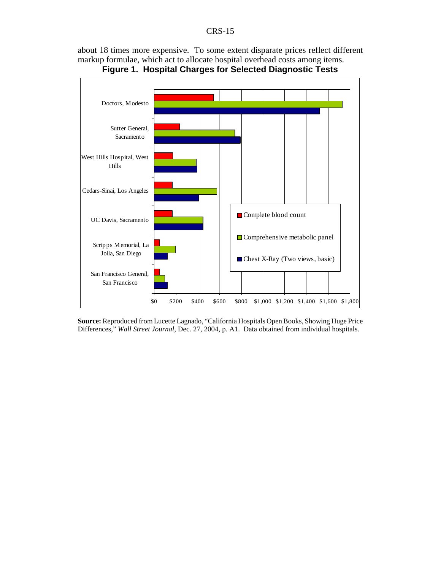about 18 times more expensive. To some extent disparate prices reflect different markup formulae, which act to allocate hospital overhead costs among items.





**Source:** Reproduced from Lucette Lagnado, "California Hospitals Open Books, Showing Huge Price Differences," *Wall Street Journal*, Dec. 27, 2004, p. A1. Data obtained from individual hospitals.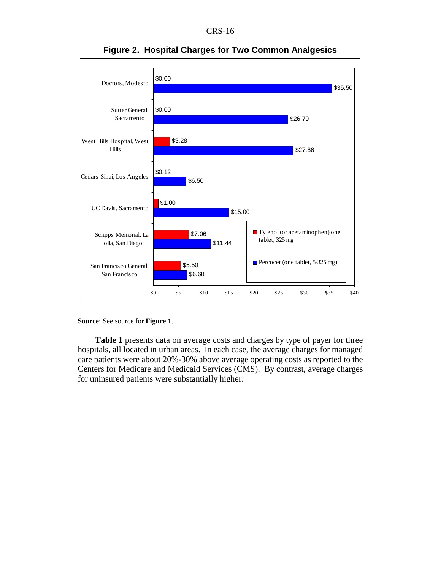

**Figure 2. Hospital Charges for Two Common Analgesics**

**Source**: See source for **Figure 1**.

**Table 1** presents data on average costs and charges by type of payer for three hospitals, all located in urban areas. In each case, the average charges for managed care patients were about 20%-30% above average operating costs as reported to the Centers for Medicare and Medicaid Services (CMS). By contrast, average charges for uninsured patients were substantially higher.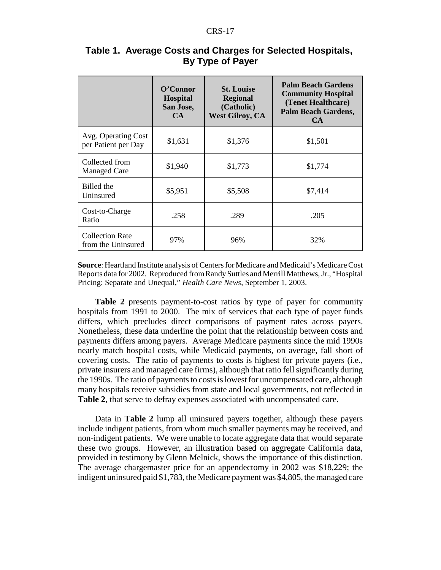|                                              | O'Connor<br><b>Hospital</b><br>San Jose,<br>CA | <b>St. Louise</b><br><b>Regional</b><br>(Catholic)<br><b>West Gilroy, CA</b> | <b>Palm Beach Gardens</b><br><b>Community Hospital</b><br>(Tenet Healthcare)<br><b>Palm Beach Gardens,</b><br>CA |  |
|----------------------------------------------|------------------------------------------------|------------------------------------------------------------------------------|------------------------------------------------------------------------------------------------------------------|--|
| Avg. Operating Cost<br>per Patient per Day   | \$1,631                                        | \$1,376                                                                      | \$1,501                                                                                                          |  |
| Collected from<br><b>Managed Care</b>        | \$1,940                                        | \$1,773                                                                      | \$1,774                                                                                                          |  |
| Billed the<br>Uninsured                      | \$5,951                                        | \$5,508                                                                      | \$7,414                                                                                                          |  |
| Cost-to-Charge<br>Ratio                      | .258                                           | .289                                                                         | .205                                                                                                             |  |
| <b>Collection Rate</b><br>from the Uninsured | 97%                                            | 96%                                                                          | 32%                                                                                                              |  |

## **Table 1. Average Costs and Charges for Selected Hospitals, By Type of Payer**

**Source**: Heartland Institute analysis of Centers for Medicare and Medicaid's Medicare Cost Reports data for 2002. Reproduced from Randy Suttles and Merrill Matthews, Jr., "Hospital Pricing: Separate and Unequal," *Health Care News*, September 1, 2003.

**Table 2** presents payment-to-cost ratios by type of payer for community hospitals from 1991 to 2000. The mix of services that each type of payer funds differs, which precludes direct comparisons of payment rates across payers. Nonetheless, these data underline the point that the relationship between costs and payments differs among payers. Average Medicare payments since the mid 1990s nearly match hospital costs, while Medicaid payments, on average, fall short of covering costs. The ratio of payments to costs is highest for private payers (i.e., private insurers and managed care firms), although that ratio fell significantly during the 1990s. The ratio of payments to costs is lowest for uncompensated care, although many hospitals receive subsidies from state and local governments, not reflected in **Table 2**, that serve to defray expenses associated with uncompensated care.

Data in **Table 2** lump all uninsured payers together, although these payers include indigent patients, from whom much smaller payments may be received, and non-indigent patients. We were unable to locate aggregate data that would separate these two groups. However, an illustration based on aggregate California data, provided in testimony by Glenn Melnick, shows the importance of this distinction. The average chargemaster price for an appendectomy in 2002 was \$18,229; the indigent uninsured paid \$1,783, the Medicare payment was \$4,805, the managed care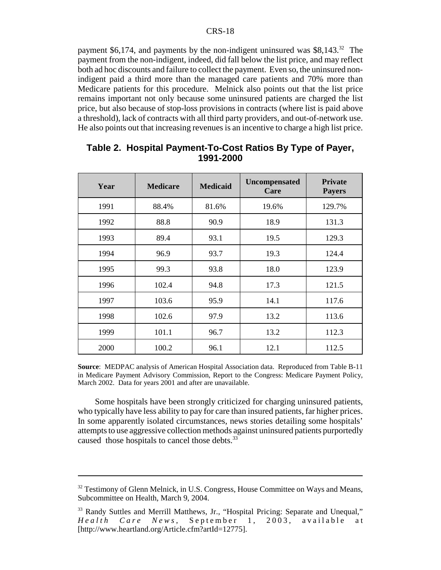payment \$6,174, and payments by the non-indigent uninsured was  $$8,143<sup>32</sup>$ . The payment from the non-indigent, indeed, did fall below the list price, and may reflect both ad hoc discounts and failure to collect the payment. Even so, the uninsured nonindigent paid a third more than the managed care patients and 70% more than Medicare patients for this procedure. Melnick also points out that the list price remains important not only because some uninsured patients are charged the list price, but also because of stop-loss provisions in contracts (where list is paid above a threshold), lack of contracts with all third party providers, and out-of-network use. He also points out that increasing revenues is an incentive to charge a high list price.

| Year | <b>Medicare</b> | <b>Medicaid</b> | <b>Uncompensated</b><br>Care | <b>Private</b><br><b>Payers</b> |
|------|-----------------|-----------------|------------------------------|---------------------------------|
| 1991 | 88.4%           | 81.6%           | 19.6%                        | 129.7%                          |
| 1992 | 88.8            | 90.9            | 18.9                         | 131.3                           |
| 1993 | 89.4            | 93.1            | 19.5                         | 129.3                           |
| 1994 | 96.9            | 93.7            | 19.3                         | 124.4                           |
| 1995 | 99.3            | 93.8            | 18.0                         | 123.9                           |
| 1996 | 102.4           | 94.8            | 17.3                         | 121.5                           |
| 1997 | 103.6           | 95.9            | 14.1                         | 117.6                           |
| 1998 | 102.6           | 97.9            | 13.2                         | 113.6                           |
| 1999 | 101.1           | 96.7            | 13.2                         | 112.3                           |
| 2000 | 100.2           | 96.1            | 12.1                         | 112.5                           |

## **Table 2. Hospital Payment-To-Cost Ratios By Type of Payer, 1991-2000**

**Source**: MEDPAC analysis of American Hospital Association data. Reproduced from Table B-11 in Medicare Payment Advisory Commission, Report to the Congress: Medicare Payment Policy, March 2002. Data for years 2001 and after are unavailable.

Some hospitals have been strongly criticized for charging uninsured patients, who typically have less ability to pay for care than insured patients, far higher prices. In some apparently isolated circumstances, news stories detailing some hospitals' attempts to use aggressive collection methods against uninsured patients purportedly caused those hospitals to cancel those debts.<sup>33</sup>

<sup>&</sup>lt;sup>32</sup> Testimony of Glenn Melnick, in U.S. Congress, House Committee on Ways and Means, Subcommittee on Health, March 9, 2004.

<sup>&</sup>lt;sup>33</sup> Randy Suttles and Merrill Matthews, Jr., "Hospital Pricing: Separate and Unequal," *Health Care News* , September 1, 2003, available at [http://www.heartland.org/Article.cfm?artId=12775].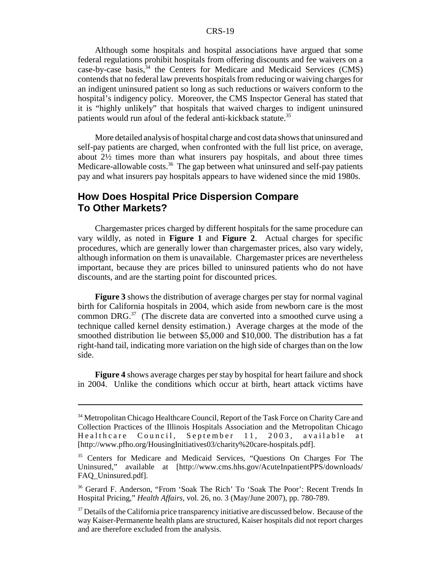Although some hospitals and hospital associations have argued that some federal regulations prohibit hospitals from offering discounts and fee waivers on a case-by-case basis,  $34$  the Centers for Medicare and Medicaid Services (CMS) contends that no federal law prevents hospitals from reducing or waiving charges for an indigent uninsured patient so long as such reductions or waivers conform to the hospital's indigency policy. Moreover, the CMS Inspector General has stated that it is "highly unlikely" that hospitals that waived charges to indigent uninsured patients would run afoul of the federal anti-kickback statute.<sup>35</sup>

More detailed analysis of hospital charge and cost data shows that uninsured and self-pay patients are charged, when confronted with the full list price, on average, about 2½ times more than what insurers pay hospitals, and about three times Medicare-allowable costs.<sup>36</sup> The gap between what uninsured and self-pay patients pay and what insurers pay hospitals appears to have widened since the mid 1980s.

# **How Does Hospital Price Dispersion Compare To Other Markets?**

Chargemaster prices charged by different hospitals for the same procedure can vary wildly, as noted in **Figure 1** and **Figure 2**. Actual charges for specific procedures, which are generally lower than chargemaster prices, also vary widely, although information on them is unavailable. Chargemaster prices are nevertheless important, because they are prices billed to uninsured patients who do not have discounts, and are the starting point for discounted prices.

**Figure 3** shows the distribution of average charges per stay for normal vaginal birth for California hospitals in 2004, which aside from newborn care is the most common DRG. $37$  (The discrete data are converted into a smoothed curve using a technique called kernel density estimation.) Average charges at the mode of the smoothed distribution lie between \$5,000 and \$10,000. The distribution has a fat right-hand tail, indicating more variation on the high side of charges than on the low side.

**Figure 4** shows average charges per stay by hospital for heart failure and shock in 2004. Unlike the conditions which occur at birth, heart attack victims have

<sup>&</sup>lt;sup>34</sup> Metropolitan Chicago Healthcare Council, Report of the Task Force on Charity Care and Collection Practices of the Illinois Hospitals Association and the Metropolitan Chicago Healthcare Council, September 11, 2003, available at [http://www.pfho.org/HousingInitiatives03/charity%20care-hospitals.pdf].

<sup>&</sup>lt;sup>35</sup> Centers for Medicare and Medicaid Services, "Questions On Charges For The Uninsured," available at [http://www.cms.hhs.gov/AcuteInpatientPPS/downloads/ FAQ\_Uninsured.pdf].

<sup>36</sup> Gerard F. Anderson, "From 'Soak The Rich' To 'Soak The Poor': Recent Trends In Hospital Pricing," *Health Affairs*, vol. 26, no. 3 (May/June 2007), pp. 780-789.

<sup>&</sup>lt;sup>37</sup> Details of the California price transparency initiative are discussed below. Because of the way Kaiser-Permanente health plans are structured, Kaiser hospitals did not report charges and are therefore excluded from the analysis.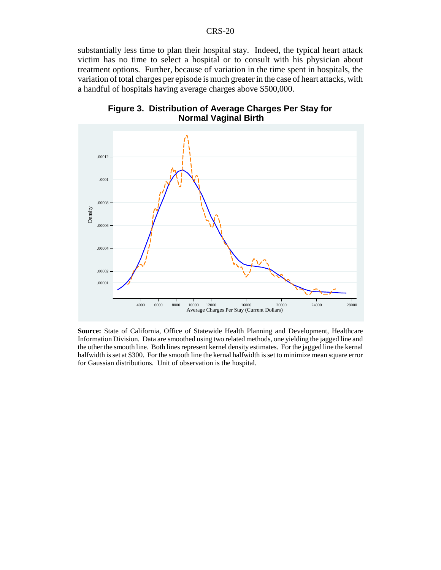substantially less time to plan their hospital stay. Indeed, the typical heart attack victim has no time to select a hospital or to consult with his physician about treatment options. Further, because of variation in the time spent in hospitals, the variation of total charges per episode is much greater in the case of heart attacks, with a handful of hospitals having average charges above \$500,000.



**Figure 3. Distribution of Average Charges Per Stay for Normal Vaginal Birth**

**Source:** State of California, Office of Statewide Health Planning and Development, Healthcare Information Division. Data are smoothed using two related methods, one yielding the jagged line and the other the smooth line. Both lines represent kernel density estimates. For the jagged line the kernal halfwidth is set at \$300. For the smooth line the kernal halfwidth is set to minimize mean square error for Gaussian distributions. Unit of observation is the hospital.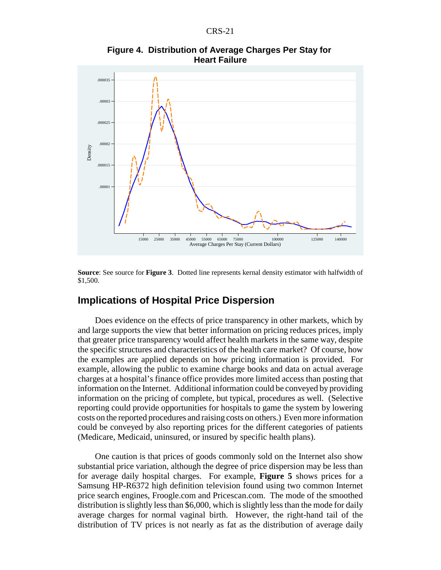

**Figure 4. Distribution of Average Charges Per Stay for Heart Failure**

**Source**: See source for **Figure 3**. Dotted line represents kernal density estimator with halfwidth of \$1,500.

## **Implications of Hospital Price Dispersion**

Does evidence on the effects of price transparency in other markets, which by and large supports the view that better information on pricing reduces prices, imply that greater price transparency would affect health markets in the same way, despite the specific structures and characteristics of the health care market? Of course, how the examples are applied depends on how pricing information is provided. For example, allowing the public to examine charge books and data on actual average charges at a hospital's finance office provides more limited access than posting that information on the Internet. Additional information could be conveyed by providing information on the pricing of complete, but typical, procedures as well. (Selective reporting could provide opportunities for hospitals to game the system by lowering costs on the reported procedures and raising costs on others.) Even more information could be conveyed by also reporting prices for the different categories of patients (Medicare, Medicaid, uninsured, or insured by specific health plans).

One caution is that prices of goods commonly sold on the Internet also show substantial price variation, although the degree of price dispersion may be less than for average daily hospital charges. For example, **Figure 5** shows prices for a Samsung HP-R6372 high definition television found using two common Internet price search engines, Froogle.com and Pricescan.com. The mode of the smoothed distribution is slightly less than \$6,000, which is slightly less than the mode for daily average charges for normal vaginal birth. However, the right-hand tail of the distribution of TV prices is not nearly as fat as the distribution of average daily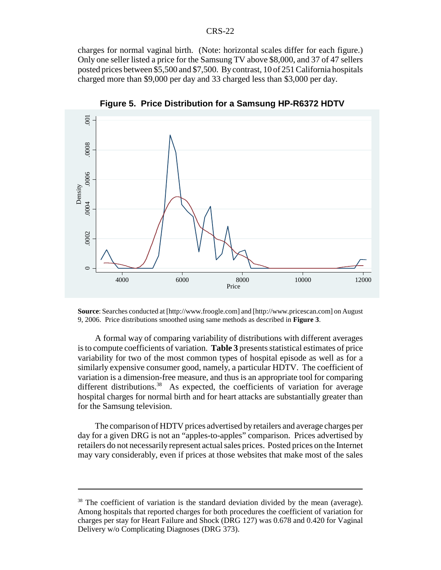charges for normal vaginal birth. (Note: horizontal scales differ for each figure.) Only one seller listed a price for the Samsung TV above \$8,000, and 37 of 47 sellers posted prices between \$5,500 and \$7,500. By contrast, 10 of 251 California hospitals charged more than \$9,000 per day and 33 charged less than \$3,000 per day.



**Figure 5. Price Distribution for a Samsung HP-R6372 HDTV**

**Source**: Searches conducted at [http://www.froogle.com] and [http://www.pricescan.com] on August 9, 2006. Price distributions smoothed using same methods as described in **Figure 3**.

A formal way of comparing variability of distributions with different averages is to compute coefficients of variation. **Table 3** presents statistical estimates of price variability for two of the most common types of hospital episode as well as for a similarly expensive consumer good, namely, a particular HDTV. The coefficient of variation is a dimension-free measure, and thus is an appropriate tool for comparing different distributions.<sup>38</sup> As expected, the coefficients of variation for average hospital charges for normal birth and for heart attacks are substantially greater than for the Samsung television.

The comparison of HDTV prices advertised by retailers and average charges per day for a given DRG is not an "apples-to-apples" comparison. Prices advertised by retailers do not necessarily represent actual sales prices. Posted prices on the Internet may vary considerably, even if prices at those websites that make most of the sales

<sup>&</sup>lt;sup>38</sup> The coefficient of variation is the standard deviation divided by the mean (average). Among hospitals that reported charges for both procedures the coefficient of variation for charges per stay for Heart Failure and Shock (DRG 127) was 0.678 and 0.420 for Vaginal Delivery w/o Complicating Diagnoses (DRG 373).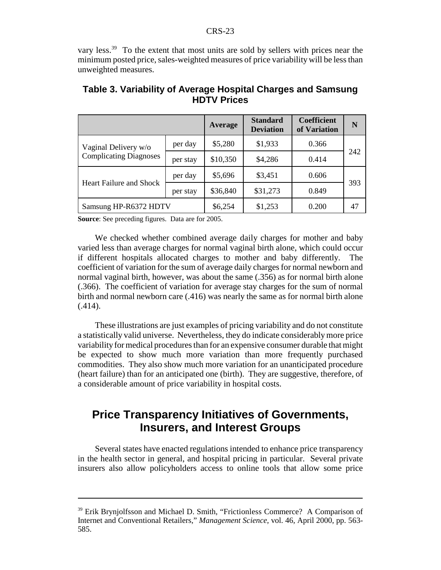vary less.<sup>39</sup> To the extent that most units are sold by sellers with prices near the minimum posted price, sales-weighted measures of price variability will be less than unweighted measures.

|                                                       |          | Average  | <b>Standard</b><br><b>Deviation</b> | <b>Coefficient</b><br>of Variation | N   |
|-------------------------------------------------------|----------|----------|-------------------------------------|------------------------------------|-----|
| Vaginal Delivery w/o<br><b>Complicating Diagnoses</b> | per day  | \$5,280  | \$1,933                             | 0.366                              |     |
|                                                       | per stay | \$10,350 | \$4,286                             | 0.414                              | 242 |
| <b>Heart Failure and Shock</b>                        | per day  | \$5,696  | \$3,451                             | 0.606                              |     |
|                                                       | per stay | \$36,840 | \$31,273                            | 0.849                              | 393 |
| Samsung HP-R6372 HDTV                                 |          | \$6,254  | \$1,253                             | 0.200                              | 47  |

#### **Table 3. Variability of Average Hospital Charges and Samsung HDTV Prices**

**Source**: See preceding figures. Data are for 2005.

We checked whether combined average daily charges for mother and baby varied less than average charges for normal vaginal birth alone, which could occur if different hospitals allocated charges to mother and baby differently. The coefficient of variation for the sum of average daily charges for normal newborn and normal vaginal birth, however, was about the same (.356) as for normal birth alone (.366). The coefficient of variation for average stay charges for the sum of normal birth and normal newborn care (.416) was nearly the same as for normal birth alone  $(.414).$ 

These illustrations are just examples of pricing variability and do not constitute a statistically valid universe. Nevertheless, they do indicate considerably more price variability for medical procedures than for an expensive consumer durable that might be expected to show much more variation than more frequently purchased commodities. They also show much more variation for an unanticipated procedure (heart failure) than for an anticipated one (birth). They are suggestive, therefore, of a considerable amount of price variability in hospital costs.

# **Price Transparency Initiatives of Governments, Insurers, and Interest Groups**

Several states have enacted regulations intended to enhance price transparency in the health sector in general, and hospital pricing in particular. Several private insurers also allow policyholders access to online tools that allow some price

<sup>&</sup>lt;sup>39</sup> Erik Brynjolfsson and Michael D. Smith, "Frictionless Commerce? A Comparison of Internet and Conventional Retailers," *Management Science*, vol. 46, April 2000, pp. 563- 585.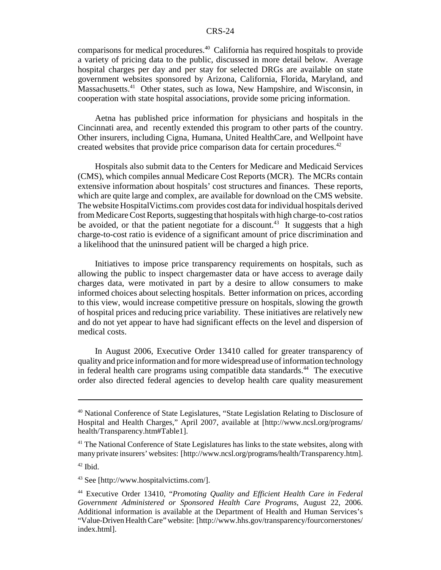comparisons for medical procedures.40 California has required hospitals to provide a variety of pricing data to the public, discussed in more detail below. Average hospital charges per day and per stay for selected DRGs are available on state government websites sponsored by Arizona, California, Florida, Maryland, and Massachusetts.<sup>41</sup> Other states, such as Iowa, New Hampshire, and Wisconsin, in cooperation with state hospital associations, provide some pricing information.

Aetna has published price information for physicians and hospitals in the Cincinnati area, and recently extended this program to other parts of the country. Other insurers, including Cigna, Humana, United HealthCare, and Wellpoint have created websites that provide price comparison data for certain procedures.<sup>42</sup>

Hospitals also submit data to the Centers for Medicare and Medicaid Services (CMS), which compiles annual Medicare Cost Reports (MCR). The MCRs contain extensive information about hospitals' cost structures and finances. These reports, which are quite large and complex, are available for download on the CMS website. The website HospitalVictims.com provides cost data for individual hospitals derived from Medicare Cost Reports, suggesting that hospitals with high charge-to-cost ratios be avoided, or that the patient negotiate for a discount.<sup>43</sup> It suggests that a high charge-to-cost ratio is evidence of a significant amount of price discrimination and a likelihood that the uninsured patient will be charged a high price.

Initiatives to impose price transparency requirements on hospitals, such as allowing the public to inspect chargemaster data or have access to average daily charges data, were motivated in part by a desire to allow consumers to make informed choices about selecting hospitals. Better information on prices, according to this view, would increase competitive pressure on hospitals, slowing the growth of hospital prices and reducing price variability. These initiatives are relatively new and do not yet appear to have had significant effects on the level and dispersion of medical costs.

In August 2006, Executive Order 13410 called for greater transparency of quality and price information and for more widespread use of information technology in federal health care programs using compatible data standards.<sup>44</sup> The executive order also directed federal agencies to develop health care quality measurement

<sup>40</sup> National Conference of State Legislatures, "State Legislation Relating to Disclosure of Hospital and Health Charges," April 2007, available at [http://www.ncsl.org/programs/ health/Transparency.htm#Table1].

<sup>&</sup>lt;sup>41</sup> The National Conference of State Legislatures has links to the state websites, along with many private insurers' websites: [http://www.ncsl.org/programs/health/Transparency.htm].

 $42$  Ibid.

<sup>43</sup> See [http://www.hospitalvictims.com/].

<sup>44</sup> Executive Order 13410, "*Promoting Quality and Efficient Health Care in Federal Government Administered or Sponsored Health Care Programs*, August 22, 2006. Additional information is available at the Department of Health and Human Services's "Value-Driven Health Care" website: [http://www.hhs.gov/transparency/fourcornerstones/ index.html].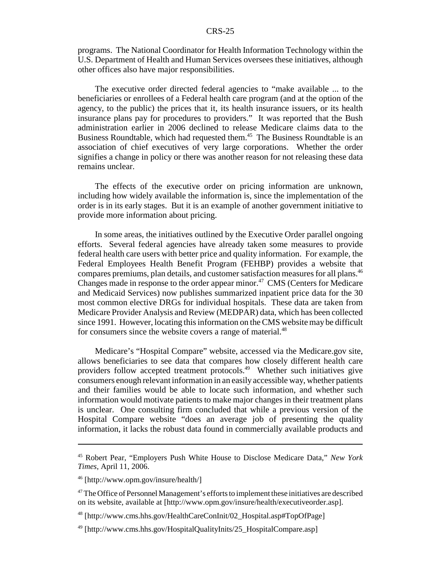programs. The National Coordinator for Health Information Technology within the U.S. Department of Health and Human Services oversees these initiatives, although other offices also have major responsibilities.

The executive order directed federal agencies to "make available ... to the beneficiaries or enrollees of a Federal health care program (and at the option of the agency, to the public) the prices that it, its health insurance issuers, or its health insurance plans pay for procedures to providers." It was reported that the Bush administration earlier in 2006 declined to release Medicare claims data to the Business Roundtable, which had requested them.<sup>45</sup> The Business Roundtable is an association of chief executives of very large corporations. Whether the order signifies a change in policy or there was another reason for not releasing these data remains unclear.

The effects of the executive order on pricing information are unknown, including how widely available the information is, since the implementation of the order is in its early stages. But it is an example of another government initiative to provide more information about pricing.

In some areas, the initiatives outlined by the Executive Order parallel ongoing efforts. Several federal agencies have already taken some measures to provide federal health care users with better price and quality information. For example, the Federal Employees Health Benefit Program (FEHBP) provides a website that compares premiums, plan details, and customer satisfaction measures for all plans.46 Changes made in response to the order appear minor.<sup>47</sup> CMS (Centers for Medicare and Medicaid Services) now publishes summarized inpatient price data for the 30 most common elective DRGs for individual hospitals. These data are taken from Medicare Provider Analysis and Review (MEDPAR) data, which has been collected since 1991. However, locating this information on the CMS website may be difficult for consumers since the website covers a range of material.<sup>48</sup>

Medicare's "Hospital Compare" website, accessed via the Medicare.gov site, allows beneficiaries to see data that compares how closely different health care providers follow accepted treatment protocols.49 Whether such initiatives give consumers enough relevant information in an easily accessible way, whether patients and their families would be able to locate such information, and whether such information would motivate patients to make major changes in their treatment plans is unclear. One consulting firm concluded that while a previous version of the Hospital Compare website "does an average job of presenting the quality information, it lacks the robust data found in commercially available products and

<sup>45</sup> Robert Pear, "Employers Push White House to Disclose Medicare Data," *New York Times*, April 11, 2006.

<sup>46 [</sup>http://www.opm.gov/insure/health/]

<sup>&</sup>lt;sup>47</sup> The Office of Personnel Management's efforts to implement these initiatives are described on its website, available at [http://www.opm.gov/insure/health/executiveorder.asp].

<sup>48 [</sup>http://www.cms.hhs.gov/HealthCareConInit/02\_Hospital.asp#TopOfPage]

<sup>49 [</sup>http://www.cms.hhs.gov/HospitalQualityInits/25\_HospitalCompare.asp]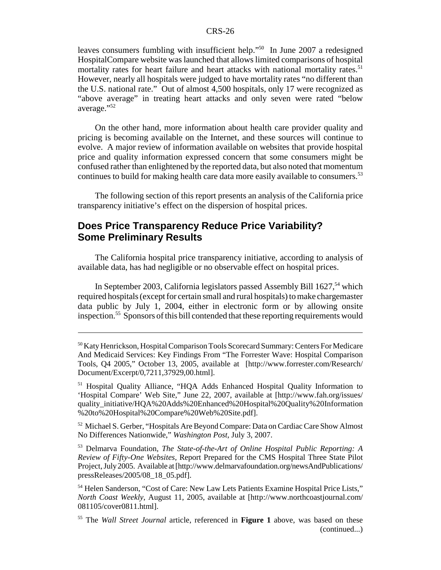leaves consumers fumbling with insufficient help."50 In June 2007 a redesigned HospitalCompare website was launched that allows limited comparisons of hospital mortality rates for heart failure and heart attacks with national mortality rates.<sup>51</sup> However, nearly all hospitals were judged to have mortality rates "no different than the U.S. national rate." Out of almost 4,500 hospitals, only 17 were recognized as "above average" in treating heart attacks and only seven were rated "below average."52

On the other hand, more information about health care provider quality and pricing is becoming available on the Internet, and these sources will continue to evolve. A major review of information available on websites that provide hospital price and quality information expressed concern that some consumers might be confused rather than enlightened by the reported data, but also noted that momentum continues to build for making health care data more easily available to consumers.<sup>53</sup>

The following section of this report presents an analysis of the California price transparency initiative's effect on the dispersion of hospital prices.

# **Does Price Transparency Reduce Price Variability? Some Preliminary Results**

The California hospital price transparency initiative, according to analysis of available data, has had negligible or no observable effect on hospital prices.

In September 2003, California legislators passed Assembly Bill 1627,<sup>54</sup> which required hospitals (except for certain small and rural hospitals) to make chargemaster data public by July 1, 2004, either in electronic form or by allowing onsite inspection.55 Sponsors of this bill contended that these reporting requirements would

<sup>52</sup> Michael S. Gerber, "Hospitals Are Beyond Compare: Data on Cardiac Care Show Almost No Differences Nationwide," *Washington Post*, July 3, 2007.

53 Delmarva Foundation, *The State-of-the-Art of Online Hospital Public Reporting: A Review of Fifty-One Websites,* Report Prepared for the CMS Hospital Three State Pilot Project, July 2005. Available at [http://www.delmarvafoundation.org/newsAndPublications/ pressReleases/2005/08\_18\_05.pdf].

54 Helen Sanderson, "Cost of Care: New Law Lets Patients Examine Hospital Price Lists," *North Coast Weekly*, August 11, 2005, available at [http://www.northcoastjournal.com/ 081105/cover0811.html].

<sup>50</sup> Katy Henrickson, Hospital Comparison Tools Scorecard Summary: Centers For Medicare And Medicaid Services: Key Findings From "The Forrester Wave: Hospital Comparison Tools, Q4 2005," October 13, 2005, available at [http://www.forrester.com/Research/ Document/Excerpt/0,7211,37929,00.html].

<sup>51</sup> Hospital Quality Alliance, "HQA Adds Enhanced Hospital Quality Information to 'Hospital Compare' Web Site," June 22, 2007, available at [http://www.fah.org/issues/ quality\_initiative/HQA%20Adds%20Enhanced%20Hospital%20Quality%20Information %20to%20Hospital%20Compare%20Web%20Site.pdf].

<sup>55</sup> The *Wall Street Journal* article, referenced in **Figure 1** above, was based on these (continued...)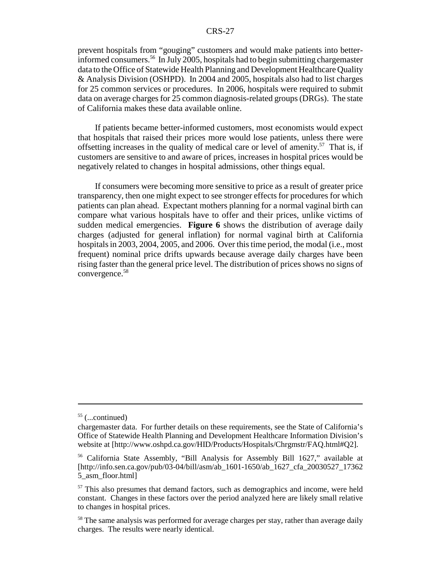prevent hospitals from "gouging" customers and would make patients into betterinformed consumers.56 In July 2005, hospitals had to begin submitting chargemaster data to the Office of Statewide Health Planning and Development Healthcare Quality & Analysis Division (OSHPD). In 2004 and 2005, hospitals also had to list charges for 25 common services or procedures. In 2006, hospitals were required to submit data on average charges for 25 common diagnosis-related groups (DRGs). The state of California makes these data available online.

If patients became better-informed customers, most economists would expect that hospitals that raised their prices more would lose patients, unless there were offsetting increases in the quality of medical care or level of amenity.<sup>57</sup> That is, if customers are sensitive to and aware of prices, increases in hospital prices would be negatively related to changes in hospital admissions, other things equal.

If consumers were becoming more sensitive to price as a result of greater price transparency, then one might expect to see stronger effects for procedures for which patients can plan ahead. Expectant mothers planning for a normal vaginal birth can compare what various hospitals have to offer and their prices, unlike victims of sudden medical emergencies. **Figure 6** shows the distribution of average daily charges (adjusted for general inflation) for normal vaginal birth at California hospitals in 2003, 2004, 2005, and 2006. Over this time period, the modal (i.e., most frequent) nominal price drifts upwards because average daily charges have been rising faster than the general price level. The distribution of prices shows no signs of convergence.58

 $55$  (...continued)

chargemaster data. For further details on these requirements, see the State of California's Office of Statewide Health Planning and Development Healthcare Information Division's website at [http://www.oshpd.ca.gov/HID/Products/Hospitals/Chrgmstr/FAQ.html#Q2].

<sup>56</sup> California State Assembly, "Bill Analysis for Assembly Bill 1627," available at [http://info.sen.ca.gov/pub/03-04/bill/asm/ab\_1601-1650/ab\_1627\_cfa\_20030527\_17362 5\_asm\_floor.html]

<sup>&</sup>lt;sup>57</sup> This also presumes that demand factors, such as demographics and income, were held constant. Changes in these factors over the period analyzed here are likely small relative to changes in hospital prices.

<sup>&</sup>lt;sup>58</sup> The same analysis was performed for average charges per stay, rather than average daily charges. The results were nearly identical.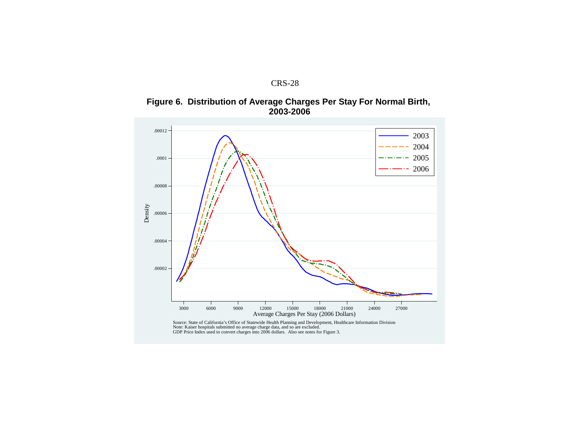

**Figure 6. Distribution of Average Charges Per Stay For Normal Birth, 2003-2006**

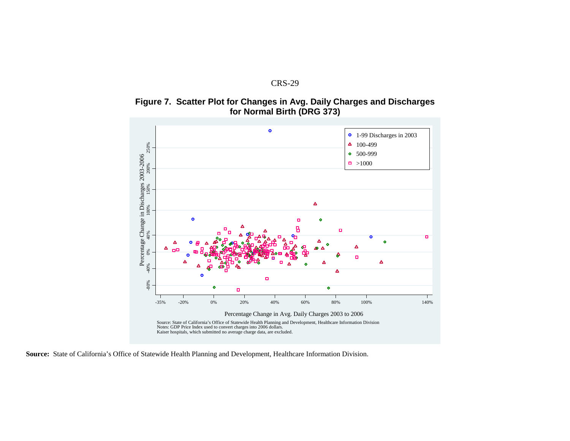





**Source:** State of California's Office of Statewide Health Planning and Development, Healthcare Information Division.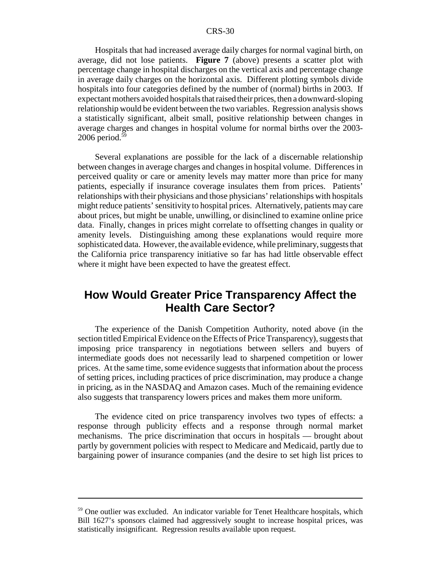Hospitals that had increased average daily charges for normal vaginal birth, on average, did not lose patients. **Figure 7** (above) presents a scatter plot with percentage change in hospital discharges on the vertical axis and percentage change in average daily charges on the horizontal axis. Different plotting symbols divide hospitals into four categories defined by the number of (normal) births in 2003. If expectant mothers avoided hospitals that raised their prices, then a downward-sloping relationship would be evident between the two variables. Regression analysis shows a statistically significant, albeit small, positive relationship between changes in average charges and changes in hospital volume for normal births over the 2003-  $2006$  period.<sup>59</sup>

Several explanations are possible for the lack of a discernable relationship between changes in average charges and changes in hospital volume. Differences in perceived quality or care or amenity levels may matter more than price for many patients, especially if insurance coverage insulates them from prices. Patients' relationships with their physicians and those physicians' relationships with hospitals might reduce patients' sensitivity to hospital prices. Alternatively, patients may care about prices, but might be unable, unwilling, or disinclined to examine online price data. Finally, changes in prices might correlate to offsetting changes in quality or amenity levels. Distinguishing among these explanations would require more sophisticated data. However, the available evidence, while preliminary, suggests that the California price transparency initiative so far has had little observable effect where it might have been expected to have the greatest effect.

# **How Would Greater Price Transparency Affect the Health Care Sector?**

The experience of the Danish Competition Authority, noted above (in the section titled Empirical Evidence on the Effects of Price Transparency), suggests that imposing price transparency in negotiations between sellers and buyers of intermediate goods does not necessarily lead to sharpened competition or lower prices. At the same time, some evidence suggests that information about the process of setting prices, including practices of price discrimination, may produce a change in pricing, as in the NASDAQ and Amazon cases. Much of the remaining evidence also suggests that transparency lowers prices and makes them more uniform.

The evidence cited on price transparency involves two types of effects: a response through publicity effects and a response through normal market mechanisms. The price discrimination that occurs in hospitals — brought about partly by government policies with respect to Medicare and Medicaid, partly due to bargaining power of insurance companies (and the desire to set high list prices to

<sup>&</sup>lt;sup>59</sup> One outlier was excluded. An indicator variable for Tenet Healthcare hospitals, which Bill 1627's sponsors claimed had aggressively sought to increase hospital prices, was statistically insignificant. Regression results available upon request.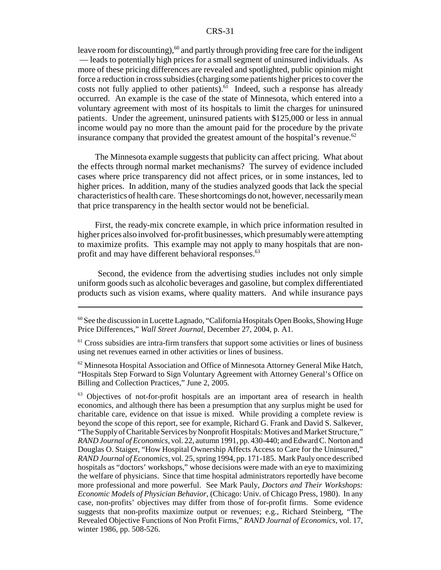leave room for discounting), $60$  and partly through providing free care for the indigent — leads to potentially high prices for a small segment of uninsured individuals. As more of these pricing differences are revealed and spotlighted, public opinion might force a reduction in cross subsidies (charging some patients higher prices to cover the costs not fully applied to other patients). $61$  Indeed, such a response has already occurred. An example is the case of the state of Minnesota, which entered into a voluntary agreement with most of its hospitals to limit the charges for uninsured patients. Under the agreement, uninsured patients with \$125,000 or less in annual income would pay no more than the amount paid for the procedure by the private insurance company that provided the greatest amount of the hospital's revenue.<sup>62</sup>

The Minnesota example suggests that publicity can affect pricing. What about the effects through normal market mechanisms? The survey of evidence included cases where price transparency did not affect prices, or in some instances, led to higher prices. In addition, many of the studies analyzed goods that lack the special characteristics of health care. These shortcomings do not, however, necessarily mean that price transparency in the health sector would not be beneficial.

First, the ready-mix concrete example, in which price information resulted in higher prices also involved for-profit businesses, which presumably were attempting to maximize profits. This example may not apply to many hospitals that are nonprofit and may have different behavioral responses.<sup>63</sup>

 Second, the evidence from the advertising studies includes not only simple uniform goods such as alcoholic beverages and gasoline, but complex differentiated products such as vision exams, where quality matters. And while insurance pays

 $62$  Minnesota Hospital Association and Office of Minnesota Attorney General Mike Hatch, "Hospitals Step Forward to Sign Voluntary Agreement with Attorney General's Office on Billing and Collection Practices," June 2, 2005.

<sup>63</sup> Objectives of not-for-profit hospitals are an important area of research in health economics, and although there has been a presumption that any surplus might be used for charitable care, evidence on that issue is mixed. While providing a complete review is beyond the scope of this report, see for example, Richard G. Frank and David S. Salkever, "The Supply of Charitable Services by Nonprofit Hospitals: Motives and Market Structure," *RAND Journal of Economics*, vol. 22, autumn 1991, pp. 430-440; and Edward C. Norton and Douglas O. Staiger, "How Hospital Ownership Affects Access to Care for the Uninsured," *RAND Journal of Economics*, vol. 25, spring 1994, pp. 171-185. Mark Pauly once described hospitals as "doctors' workshops," whose decisions were made with an eye to maximizing the welfare of physicians. Since that time hospital administrators reportedly have become more professional and more powerful. See Mark Pauly, *Doctors and Their Workshops: Economic Models of Physician Behavior*, (Chicago: Univ. of Chicago Press, 1980). In any case, non-profits' objectives may differ from those of for-profit firms. Some evidence suggests that non-profits maximize output or revenues; e.g., Richard Steinberg, "The Revealed Objective Functions of Non Profit Firms," *RAND Journal of Economics*, vol. 17, winter 1986, pp. 508-526.

<sup>60</sup> See the discussion in Lucette Lagnado, "California Hospitals Open Books, Showing Huge Price Differences," *Wall Street Journal*, December 27, 2004, p. A1.

<sup>&</sup>lt;sup>61</sup> Cross subsidies are intra-firm transfers that support some activities or lines of business using net revenues earned in other activities or lines of business.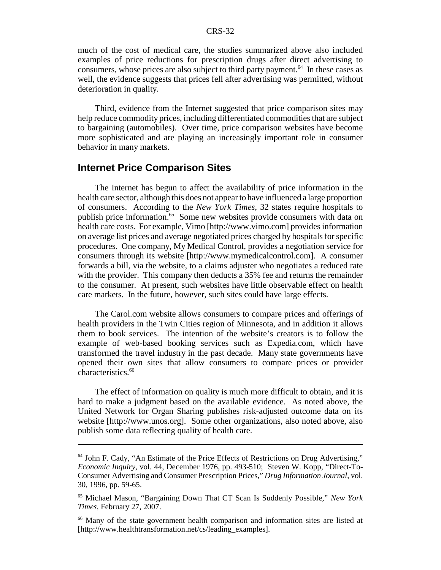much of the cost of medical care, the studies summarized above also included examples of price reductions for prescription drugs after direct advertising to consumers, whose prices are also subject to third party payment.<sup>64</sup> In these cases as well, the evidence suggests that prices fell after advertising was permitted, without deterioration in quality.

Third, evidence from the Internet suggested that price comparison sites may help reduce commodity prices, including differentiated commodities that are subject to bargaining (automobiles). Over time, price comparison websites have become more sophisticated and are playing an increasingly important role in consumer behavior in many markets.

#### **Internet Price Comparison Sites**

The Internet has begun to affect the availability of price information in the health care sector, although this does not appear to have influenced a large proportion of consumers. According to the *New York Times*, 32 states require hospitals to publish price information.<sup>65</sup> Some new websites provide consumers with data on health care costs. For example, Vimo [http://www.vimo.com] provides information on average list prices and average negotiated prices charged by hospitals for specific procedures. One company, My Medical Control, provides a negotiation service for consumers through its website [http://www.mymedicalcontrol.com]. A consumer forwards a bill, via the website, to a claims adjuster who negotiates a reduced rate with the provider. This company then deducts a 35% fee and returns the remainder to the consumer. At present, such websites have little observable effect on health care markets. In the future, however, such sites could have large effects.

The Carol.com website allows consumers to compare prices and offerings of health providers in the Twin Cities region of Minnesota, and in addition it allows them to book services. The intention of the website's creators is to follow the example of web-based booking services such as Expedia.com, which have transformed the travel industry in the past decade. Many state governments have opened their own sites that allow consumers to compare prices or provider characteristics.<sup>66</sup>

The effect of information on quality is much more difficult to obtain, and it is hard to make a judgment based on the available evidence. As noted above, the United Network for Organ Sharing publishes risk-adjusted outcome data on its website [http://www.unos.org]. Some other organizations, also noted above, also publish some data reflecting quality of health care.

<sup>&</sup>lt;sup>64</sup> John F. Cady, "An Estimate of the Price Effects of Restrictions on Drug Advertising," *Economic Inquiry*, vol. 44, December 1976, pp. 493-510; Steven W. Kopp, "Direct-To-Consumer Advertising and Consumer Prescription Prices," *Drug Information Journal*, vol. 30, 1996, pp. 59-65.

<sup>65</sup> Michael Mason, "Bargaining Down That CT Scan Is Suddenly Possible," *New York Times*, February 27, 2007.

<sup>66</sup> Many of the state government health comparison and information sites are listed at [http://www.healthtransformation.net/cs/leading\_examples].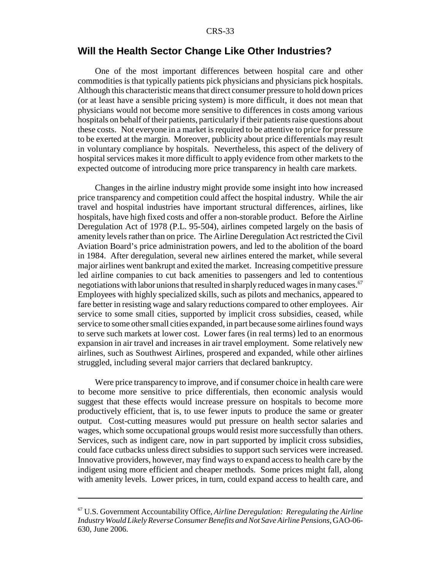# **Will the Health Sector Change Like Other Industries?**

One of the most important differences between hospital care and other commodities is that typically patients pick physicians and physicians pick hospitals. Although this characteristic means that direct consumer pressure to hold down prices (or at least have a sensible pricing system) is more difficult, it does not mean that physicians would not become more sensitive to differences in costs among various hospitals on behalf of their patients, particularly if their patients raise questions about these costs. Not everyone in a market is required to be attentive to price for pressure to be exerted at the margin. Moreover, publicity about price differentials may result in voluntary compliance by hospitals. Nevertheless, this aspect of the delivery of hospital services makes it more difficult to apply evidence from other markets to the expected outcome of introducing more price transparency in health care markets.

Changes in the airline industry might provide some insight into how increased price transparency and competition could affect the hospital industry. While the air travel and hospital industries have important structural differences, airlines, like hospitals, have high fixed costs and offer a non-storable product. Before the Airline Deregulation Act of 1978 (P.L. 95-504), airlines competed largely on the basis of amenity levels rather than on price. The Airline Deregulation Act restricted the Civil Aviation Board's price administration powers, and led to the abolition of the board in 1984. After deregulation, several new airlines entered the market, while several major airlines went bankrupt and exited the market. Increasing competitive pressure led airline companies to cut back amenities to passengers and led to contentious negotiations with labor unions that resulted in sharply reduced wages in many cases.<sup>67</sup> Employees with highly specialized skills, such as pilots and mechanics, appeared to fare better in resisting wage and salary reductions compared to other employees. Air service to some small cities, supported by implicit cross subsidies, ceased, while service to some other small cities expanded, in part because some airlines found ways to serve such markets at lower cost. Lower fares (in real terms) led to an enormous expansion in air travel and increases in air travel employment. Some relatively new airlines, such as Southwest Airlines, prospered and expanded, while other airlines struggled, including several major carriers that declared bankruptcy.

Were price transparency to improve, and if consumer choice in health care were to become more sensitive to price differentials, then economic analysis would suggest that these effects would increase pressure on hospitals to become more productively efficient, that is, to use fewer inputs to produce the same or greater output. Cost-cutting measures would put pressure on health sector salaries and wages, which some occupational groups would resist more successfully than others. Services, such as indigent care, now in part supported by implicit cross subsidies, could face cutbacks unless direct subsidies to support such services were increased. Innovative providers, however, may find ways to expand access to health care by the indigent using more efficient and cheaper methods. Some prices might fall, along with amenity levels. Lower prices, in turn, could expand access to health care, and

<sup>67</sup> U.S. Government Accountability Office, *Airline Deregulation: Reregulating the Airline Industry Would Likely Reverse Consumer Benefits and Not Save Airline Pensions*, GAO-06- 630, June 2006.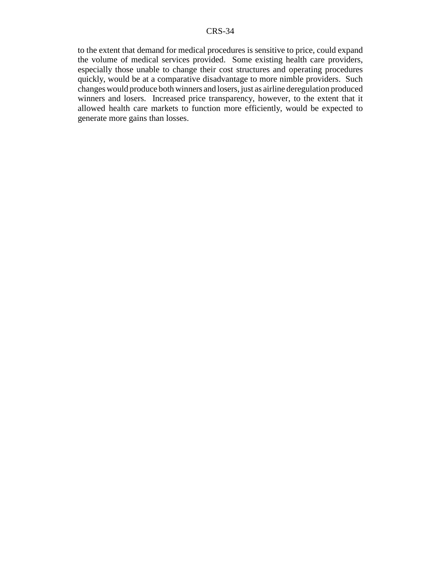to the extent that demand for medical procedures is sensitive to price, could expand the volume of medical services provided. Some existing health care providers, especially those unable to change their cost structures and operating procedures quickly, would be at a comparative disadvantage to more nimble providers. Such changes would produce both winners and losers, just as airline deregulation produced winners and losers. Increased price transparency, however, to the extent that it allowed health care markets to function more efficiently, would be expected to generate more gains than losses.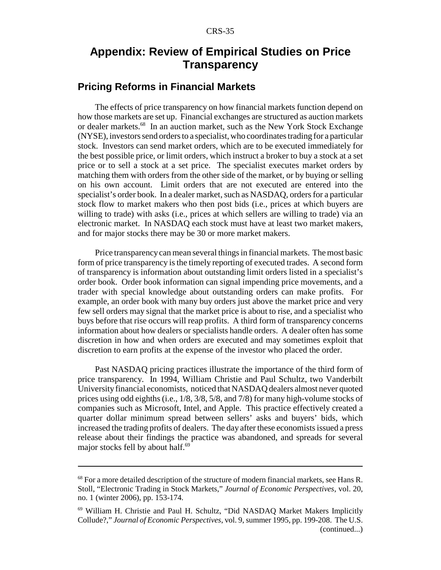# **Appendix: Review of Empirical Studies on Price Transparency**

# **Pricing Reforms in Financial Markets**

The effects of price transparency on how financial markets function depend on how those markets are set up. Financial exchanges are structured as auction markets or dealer markets.<sup>68</sup> In an auction market, such as the New York Stock Exchange (NYSE), investors send orders to a specialist, who coordinates trading for a particular stock. Investors can send market orders, which are to be executed immediately for the best possible price, or limit orders, which instruct a broker to buy a stock at a set price or to sell a stock at a set price. The specialist executes market orders by matching them with orders from the other side of the market, or by buying or selling on his own account. Limit orders that are not executed are entered into the specialist's order book. In a dealer market, such as NASDAQ, orders for a particular stock flow to market makers who then post bids (i.e., prices at which buyers are willing to trade) with asks (i.e., prices at which sellers are willing to trade) via an electronic market. In NASDAQ each stock must have at least two market makers, and for major stocks there may be 30 or more market makers.

Price transparency can mean several things in financial markets. The most basic form of price transparency is the timely reporting of executed trades. A second form of transparency is information about outstanding limit orders listed in a specialist's order book. Order book information can signal impending price movements, and a trader with special knowledge about outstanding orders can make profits. For example, an order book with many buy orders just above the market price and very few sell orders may signal that the market price is about to rise, and a specialist who buys before that rise occurs will reap profits. A third form of transparency concerns information about how dealers or specialists handle orders. A dealer often has some discretion in how and when orders are executed and may sometimes exploit that discretion to earn profits at the expense of the investor who placed the order.

Past NASDAQ pricing practices illustrate the importance of the third form of price transparency. In 1994, William Christie and Paul Schultz, two Vanderbilt University financial economists, noticed that NASDAQ dealers almost never quoted prices using odd eighths (i.e., 1/8, 3/8, 5/8, and 7/8) for many high-volume stocks of companies such as Microsoft, Intel, and Apple. This practice effectively created a quarter dollar minimum spread between sellers' asks and buyers' bids, which increased the trading profits of dealers. The day after these economists issued a press release about their findings the practice was abandoned, and spreads for several major stocks fell by about half.<sup>69</sup>

<sup>&</sup>lt;sup>68</sup> For a more detailed description of the structure of modern financial markets, see Hans R. Stoll, "Electronic Trading in Stock Markets," *Journal of Economic Perspectives*, vol. 20, no. 1 (winter 2006), pp. 153-174.

<sup>69</sup> William H. Christie and Paul H. Schultz, "Did NASDAQ Market Makers Implicitly Collude?," *Journal of Economic Perspectives*, vol. 9, summer 1995, pp. 199-208. The U.S. (continued...)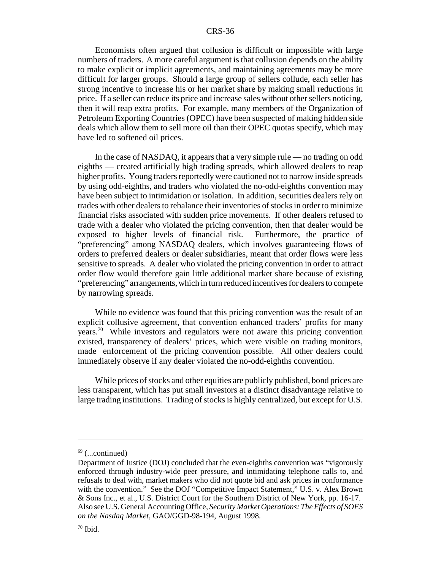Economists often argued that collusion is difficult or impossible with large numbers of traders. A more careful argument is that collusion depends on the ability to make explicit or implicit agreements, and maintaining agreements may be more difficult for larger groups. Should a large group of sellers collude, each seller has strong incentive to increase his or her market share by making small reductions in price. If a seller can reduce its price and increase sales without other sellers noticing, then it will reap extra profits. For example, many members of the Organization of Petroleum Exporting Countries (OPEC) have been suspected of making hidden side deals which allow them to sell more oil than their OPEC quotas specify, which may have led to softened oil prices.

In the case of NASDAQ, it appears that a very simple rule — no trading on odd eighths — created artificially high trading spreads, which allowed dealers to reap higher profits. Young traders reportedly were cautioned not to narrow inside spreads by using odd-eighths, and traders who violated the no-odd-eighths convention may have been subject to intimidation or isolation. In addition, securities dealers rely on trades with other dealers to rebalance their inventories of stocks in order to minimize financial risks associated with sudden price movements. If other dealers refused to trade with a dealer who violated the pricing convention, then that dealer would be exposed to higher levels of financial risk. Furthermore, the practice of "preferencing" among NASDAQ dealers, which involves guaranteeing flows of orders to preferred dealers or dealer subsidiaries, meant that order flows were less sensitive to spreads. A dealer who violated the pricing convention in order to attract order flow would therefore gain little additional market share because of existing "preferencing" arrangements, which in turn reduced incentives for dealers to compete by narrowing spreads.

While no evidence was found that this pricing convention was the result of an explicit collusive agreement, that convention enhanced traders' profits for many years.70 While investors and regulators were not aware this pricing convention existed, transparency of dealers' prices, which were visible on trading monitors, made enforcement of the pricing convention possible. All other dealers could immediately observe if any dealer violated the no-odd-eighths convention.

While prices of stocks and other equities are publicly published, bond prices are less transparent, which has put small investors at a distinct disadvantage relative to large trading institutions. Trading of stocks is highly centralized, but except for U.S.

 $69$  (...continued)

Department of Justice (DOJ) concluded that the even-eighths convention was "vigorously enforced through industry-wide peer pressure, and intimidating telephone calls to, and refusals to deal with, market makers who did not quote bid and ask prices in conformance with the convention." See the DOJ "Competitive Impact Statement," U.S. v. Alex Brown & Sons Inc., et al., U.S. District Court for the Southern District of New York, pp. 16-17. Also see U.S. General Accounting Office, *Security Market Operations: The Effects of SOES on the Nasdaq Market*, GAO/GGD-98-194, August 1998.

 $70$  Ibid.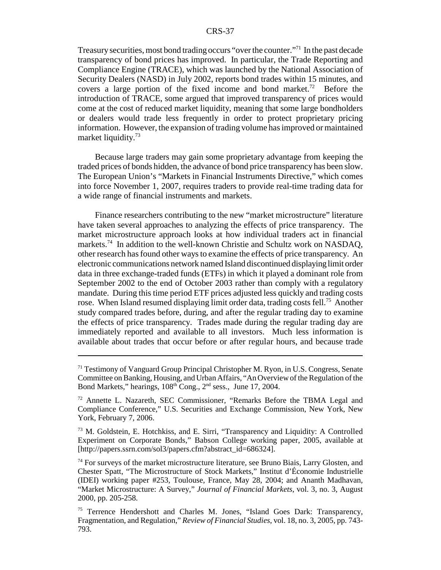Treasury securities, most bond trading occurs "over the counter."71 In the past decade transparency of bond prices has improved. In particular, the Trade Reporting and Compliance Engine (TRACE), which was launched by the National Association of Security Dealers (NASD) in July 2002, reports bond trades within 15 minutes, and covers a large portion of the fixed income and bond market.<sup>72</sup> Before the introduction of TRACE, some argued that improved transparency of prices would come at the cost of reduced market liquidity, meaning that some large bondholders or dealers would trade less frequently in order to protect proprietary pricing information. However, the expansion of trading volume has improved or maintained market liquidity.<sup>73</sup>

Because large traders may gain some proprietary advantage from keeping the traded prices of bonds hidden, the advance of bond price transparency has been slow. The European Union's "Markets in Financial Instruments Directive," which comes into force November 1, 2007, requires traders to provide real-time trading data for a wide range of financial instruments and markets.

Finance researchers contributing to the new "market microstructure" literature have taken several approaches to analyzing the effects of price transparency. The market microstructure approach looks at how individual traders act in financial markets.<sup>74</sup> In addition to the well-known Christie and Schultz work on NASDAQ, other research has found other ways to examine the effects of price transparency. An electronic communications network named Island discontinued displaying limit order data in three exchange-traded funds (ETFs) in which it played a dominant role from September 2002 to the end of October 2003 rather than comply with a regulatory mandate. During this time period ETF prices adjusted less quickly and trading costs rose. When Island resumed displaying limit order data, trading costs fell.<sup>75</sup> Another study compared trades before, during, and after the regular trading day to examine the effects of price transparency. Trades made during the regular trading day are immediately reported and available to all investors. Much less information is available about trades that occur before or after regular hours, and because trade

<sup>&</sup>lt;sup>71</sup> Testimony of Vanguard Group Principal Christopher M. Ryon, in U.S. Congress, Senate Committee on Banking, Housing, and Urban Affairs, "An Overview of the Regulation of the Bond Markets," hearings,  $108<sup>th</sup>$  Cong.,  $2<sup>nd</sup>$  sess., June 17, 2004.

<sup>72</sup> Annette L. Nazareth, SEC Commissioner, "Remarks Before the TBMA Legal and Compliance Conference," U.S. Securities and Exchange Commission, New York, New York, February 7, 2006.

<sup>73</sup> M. Goldstein, E. Hotchkiss, and E. Sirri, "Transparency and Liquidity: A Controlled Experiment on Corporate Bonds," Babson College working paper, 2005, available at [http://papers.ssrn.com/sol3/papers.cfm?abstract\_id=686324].

 $74$  For surveys of the market microstructure literature, see Bruno Biais, Larry Glosten, and Chester Spatt, "The Microstructure of Stock Markets," Institut d'Économie Industrielle (IDEI) working paper #253, Toulouse, France, May 28, 2004; and Ananth Madhavan, "Market Microstructure: A Survey," *Journal of Financial Markets*, vol. 3, no. 3, August 2000, pp. 205-258.

<sup>&</sup>lt;sup>75</sup> Terrence Hendershott and Charles M. Jones, "Island Goes Dark: Transparency, Fragmentation, and Regulation," *Review of Financial Studies*, vol. 18, no. 3, 2005, pp. 743- 793.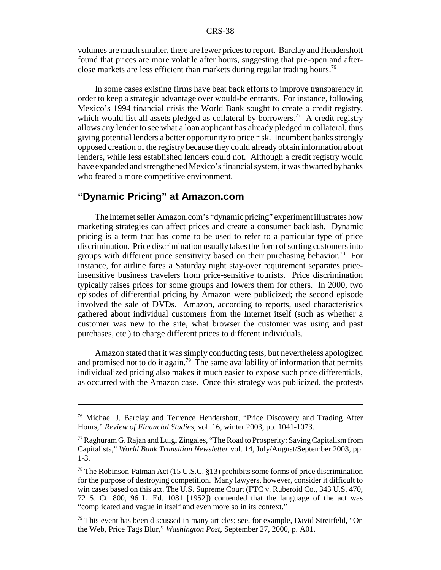volumes are much smaller, there are fewer prices to report. Barclay and Hendershott found that prices are more volatile after hours, suggesting that pre-open and afterclose markets are less efficient than markets during regular trading hours.<sup>76</sup>

In some cases existing firms have beat back efforts to improve transparency in order to keep a strategic advantage over would-be entrants. For instance, following Mexico's 1994 financial crisis the World Bank sought to create a credit registry, which would list all assets pledged as collateral by borrowers.<sup>77</sup> A credit registry allows any lender to see what a loan applicant has already pledged in collateral, thus giving potential lenders a better opportunity to price risk. Incumbent banks strongly opposed creation of the registry because they could already obtain information about lenders, while less established lenders could not. Although a credit registry would have expanded and strengthened Mexico's financial system, it was thwarted by banks who feared a more competitive environment.

# **"Dynamic Pricing" at Amazon.com**

The Internet seller Amazon.com's "dynamic pricing" experiment illustrates how marketing strategies can affect prices and create a consumer backlash. Dynamic pricing is a term that has come to be used to refer to a particular type of price discrimination. Price discrimination usually takes the form of sorting customers into groups with different price sensitivity based on their purchasing behavior.<sup>78</sup> For instance, for airline fares a Saturday night stay-over requirement separates priceinsensitive business travelers from price-sensitive tourists. Price discrimination typically raises prices for some groups and lowers them for others. In 2000, two episodes of differential pricing by Amazon were publicized; the second episode involved the sale of DVDs. Amazon, according to reports, used characteristics gathered about individual customers from the Internet itself (such as whether a customer was new to the site, what browser the customer was using and past purchases, etc.) to charge different prices to different individuals.

Amazon stated that it was simply conducting tests, but nevertheless apologized and promised not to do it again.<sup>79</sup> The same availability of information that permits individualized pricing also makes it much easier to expose such price differentials, as occurred with the Amazon case. Once this strategy was publicized, the protests

<sup>76</sup> Michael J. Barclay and Terrence Hendershott, "Price Discovery and Trading After Hours," *Review of Financial Studies*, vol. 16, winter 2003, pp. 1041-1073.

 $77$  Raghuram G. Rajan and Luigi Zingales, "The Road to Prosperity: Saving Capitalism from Capitalists," *World Bank Transition Newsletter* vol. 14, July/August/September 2003, pp. 1-3.

<sup>&</sup>lt;sup>78</sup> The Robinson-Patman Act (15 U.S.C. §13) prohibits some forms of price discrimination for the purpose of destroying competition. Many lawyers, however, consider it difficult to win cases based on this act. The U.S. Supreme Court (FTC v. Ruberoid Co., 343 U.S. 470, 72 S. Ct. 800, 96 L. Ed. 1081 [1952]) contended that the language of the act was "complicated and vague in itself and even more so in its context."

<sup>&</sup>lt;sup>79</sup> This event has been discussed in many articles; see, for example, David Streitfeld, "On the Web, Price Tags Blur," *Washington Post*, September 27, 2000, p. A01.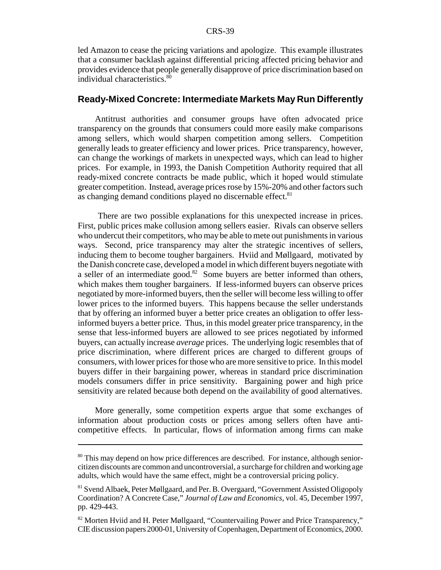led Amazon to cease the pricing variations and apologize. This example illustrates that a consumer backlash against differential pricing affected pricing behavior and provides evidence that people generally disapprove of price discrimination based on individual characteristics.<sup>80</sup>

#### **Ready-Mixed Concrete: Intermediate Markets May Run Differently**

Antitrust authorities and consumer groups have often advocated price transparency on the grounds that consumers could more easily make comparisons among sellers, which would sharpen competition among sellers. Competition generally leads to greater efficiency and lower prices. Price transparency, however, can change the workings of markets in unexpected ways, which can lead to higher prices. For example, in 1993, the Danish Competition Authority required that all ready-mixed concrete contracts be made public, which it hoped would stimulate greater competition. Instead, average prices rose by 15%-20% and other factors such as changing demand conditions played no discernable effect.<sup>81</sup>

 There are two possible explanations for this unexpected increase in prices. First, public prices make collusion among sellers easier. Rivals can observe sellers who undercut their competitors, who may be able to mete out punishments in various ways. Second, price transparency may alter the strategic incentives of sellers, inducing them to become tougher bargainers. Hviid and Møllgaard, motivated by the Danish concrete case, developed a model in which different buyers negotiate with a seller of an intermediate good.<sup>82</sup> Some buyers are better informed than others, which makes them tougher bargainers. If less-informed buyers can observe prices negotiated by more-informed buyers, then the seller will become less willing to offer lower prices to the informed buyers. This happens because the seller understands that by offering an informed buyer a better price creates an obligation to offer lessinformed buyers a better price. Thus, in this model greater price transparency, in the sense that less-informed buyers are allowed to see prices negotiated by informed buyers, can actually increase *average* prices. The underlying logic resembles that of price discrimination, where different prices are charged to different groups of consumers, with lower prices for those who are more sensitive to price. In this model buyers differ in their bargaining power, whereas in standard price discrimination models consumers differ in price sensitivity. Bargaining power and high price sensitivity are related because both depend on the availability of good alternatives.

More generally, some competition experts argue that some exchanges of information about production costs or prices among sellers often have anticompetitive effects. In particular, flows of information among firms can make

<sup>&</sup>lt;sup>80</sup> This may depend on how price differences are described. For instance, although seniorcitizen discounts are common and uncontroversial, a surcharge for children and working age adults, which would have the same effect, might be a controversial pricing policy.

<sup>81</sup> Svend Albaek, Peter Møllgaard, and Per. B. Overgaard, "Government Assisted Oligopoly Coordination? A Concrete Case," *Journal of Law and Economics*, vol. 45, December 1997, pp. 429-443.

<sup>82</sup> Morten Hviid and H. Peter Møllgaard, "Countervailing Power and Price Transparency," CIE discussion papers 2000-01, University of Copenhagen, Department of Economics, 2000.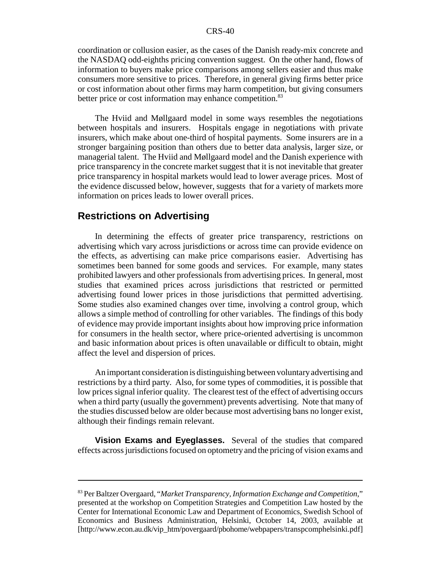coordination or collusion easier, as the cases of the Danish ready-mix concrete and the NASDAQ odd-eighths pricing convention suggest. On the other hand, flows of information to buyers make price comparisons among sellers easier and thus make consumers more sensitive to prices. Therefore, in general giving firms better price or cost information about other firms may harm competition, but giving consumers better price or cost information may enhance competition.<sup>83</sup>

The Hviid and Møllgaard model in some ways resembles the negotiations between hospitals and insurers. Hospitals engage in negotiations with private insurers, which make about one-third of hospital payments. Some insurers are in a stronger bargaining position than others due to better data analysis, larger size, or managerial talent. The Hviid and Møllgaard model and the Danish experience with price transparency in the concrete market suggest that it is not inevitable that greater price transparency in hospital markets would lead to lower average prices. Most of the evidence discussed below, however, suggests that for a variety of markets more information on prices leads to lower overall prices.

#### **Restrictions on Advertising**

In determining the effects of greater price transparency, restrictions on advertising which vary across jurisdictions or across time can provide evidence on the effects, as advertising can make price comparisons easier. Advertising has sometimes been banned for some goods and services. For example, many states prohibited lawyers and other professionals from advertising prices. In general, most studies that examined prices across jurisdictions that restricted or permitted advertising found lower prices in those jurisdictions that permitted advertising. Some studies also examined changes over time, involving a control group, which allows a simple method of controlling for other variables. The findings of this body of evidence may provide important insights about how improving price information for consumers in the health sector, where price-oriented advertising is uncommon and basic information about prices is often unavailable or difficult to obtain, might affect the level and dispersion of prices.

An important consideration is distinguishing between voluntary advertising and restrictions by a third party. Also, for some types of commodities, it is possible that low prices signal inferior quality. The clearest test of the effect of advertising occurs when a third party (usually the government) prevents advertising. Note that many of the studies discussed below are older because most advertising bans no longer exist, although their findings remain relevant.

**Vision Exams and Eyeglasses.** Several of the studies that compared effects across jurisdictions focused on optometry and the pricing of vision exams and

<sup>83</sup> Per Baltzer Overgaard, "*Market Transparency, Information Exchange and Competition*," presented at the workshop on Competition Strategies and Competition Law hosted by the Center for International Economic Law and Department of Economics, Swedish School of Economics and Business Administration, Helsinki, October 14, 2003, available at [http://www.econ.au.dk/vip\_htm/povergaard/pbohome/webpapers/transpcomphelsinki.pdf]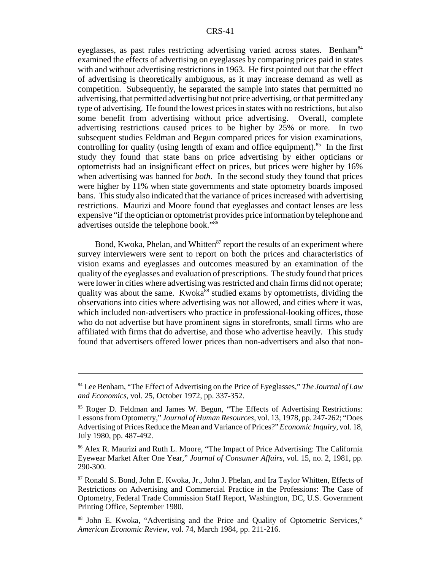eyeglasses, as past rules restricting advertising varied across states. Benham<sup>84</sup> examined the effects of advertising on eyeglasses by comparing prices paid in states with and without advertising restrictions in 1963. He first pointed out that the effect of advertising is theoretically ambiguous, as it may increase demand as well as competition. Subsequently, he separated the sample into states that permitted no advertising, that permitted advertising but not price advertising, or that permitted any type of advertising. He found the lowest prices in states with no restrictions, but also some benefit from advertising without price advertising. Overall, complete advertising restrictions caused prices to be higher by 25% or more. In two subsequent studies Feldman and Begun compared prices for vision examinations, controlling for quality (using length of exam and office equipment).<sup>85</sup> In the first study they found that state bans on price advertising by either opticians or optometrists had an insignificant effect on prices, but prices were higher by 16% when advertising was banned for *both*. In the second study they found that prices were higher by 11% when state governments and state optometry boards imposed bans. This study also indicated that the variance of prices increased with advertising restrictions. Maurizi and Moore found that eyeglasses and contact lenses are less expensive "if the optician or optometrist provides price information by telephone and advertises outside the telephone book."86

Bond, Kwoka, Phelan, and Whitten<sup>87</sup> report the results of an experiment where survey interviewers were sent to report on both the prices and characteristics of vision exams and eyeglasses and outcomes measured by an examination of the quality of the eyeglasses and evaluation of prescriptions. The study found that prices were lower in cities where advertising was restricted and chain firms did not operate; quality was about the same. Kwoka<sup>88</sup> studied exams by optometrists, dividing the observations into cities where advertising was not allowed, and cities where it was, which included non-advertisers who practice in professional-looking offices, those who do not advertise but have prominent signs in storefronts, small firms who are affiliated with firms that do advertise, and those who advertise heavily. This study found that advertisers offered lower prices than non-advertisers and also that non-

<sup>84</sup> Lee Benham, "The Effect of Advertising on the Price of Eyeglasses," *The Journal of Law and Economics*, vol. 25, October 1972, pp. 337-352.

<sup>85</sup> Roger D. Feldman and James W. Begun, "The Effects of Advertising Restrictions: Lessons from Optometry," *Journal of Human Resources*, vol. 13, 1978, pp. 247-262; "Does Advertising of Prices Reduce the Mean and Variance of Prices?" *Economic Inquiry*, vol. 18, July 1980, pp. 487-492.

<sup>86</sup> Alex R. Maurizi and Ruth L. Moore, "The Impact of Price Advertising: The California Eyewear Market After One Year," *Journal of Consumer Affairs*, vol. 15, no. 2, 1981, pp. 290-300.

<sup>87</sup> Ronald S. Bond, John E. Kwoka, Jr., John J. Phelan, and Ira Taylor Whitten, Effects of Restrictions on Advertising and Commercial Practice in the Professions: The Case of Optometry, Federal Trade Commission Staff Report, Washington, DC, U.S. Government Printing Office, September 1980.

<sup>88</sup> John E. Kwoka, "Advertising and the Price and Quality of Optometric Services," *American Economic Review*, vol. 74, March 1984, pp. 211-216.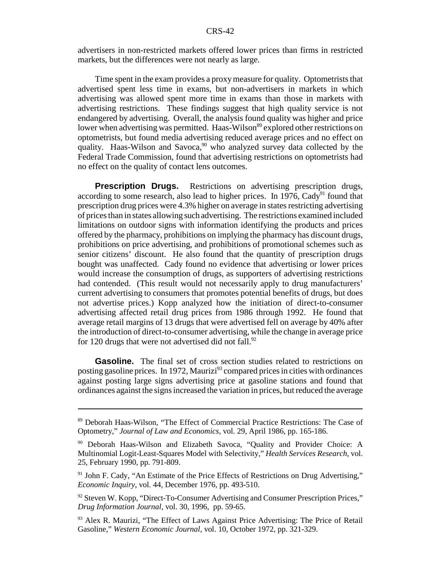advertisers in non-restricted markets offered lower prices than firms in restricted markets, but the differences were not nearly as large.

Time spent in the exam provides a proxy measure for quality. Optometrists that advertised spent less time in exams, but non-advertisers in markets in which advertising was allowed spent more time in exams than those in markets with advertising restrictions. These findings suggest that high quality service is not endangered by advertising. Overall, the analysis found quality was higher and price lower when advertising was permitted. Haas-Wilson<sup>89</sup> explored other restrictions on optometrists, but found media advertising reduced average prices and no effect on quality. Haas-Wilson and Savoca,  $90$  who analyzed survey data collected by the Federal Trade Commission, found that advertising restrictions on optometrists had no effect on the quality of contact lens outcomes.

**Prescription Drugs.** Restrictions on advertising prescription drugs, according to some research, also lead to higher prices. In 1976, Cady<sup>91</sup> found that prescription drug prices were 4.3% higher on average in states restricting advertising of prices than in states allowing such advertising. The restrictions examined included limitations on outdoor signs with information identifying the products and prices offered by the pharmacy, prohibitions on implying the pharmacy has discount drugs, prohibitions on price advertising, and prohibitions of promotional schemes such as senior citizens' discount. He also found that the quantity of prescription drugs bought was unaffected. Cady found no evidence that advertising or lower prices would increase the consumption of drugs, as supporters of advertising restrictions had contended. (This result would not necessarily apply to drug manufacturers' current advertising to consumers that promotes potential benefits of drugs, but does not advertise prices.) Kopp analyzed how the initiation of direct-to-consumer advertising affected retail drug prices from 1986 through 1992. He found that average retail margins of 13 drugs that were advertised fell on average by 40% after the introduction of direct-to-consumer advertising, while the change in average price for 120 drugs that were not advertised did not fall. $92$ 

Gasoline. The final set of cross section studies related to restrictions on posting gasoline prices. In 1972, Maurizi<sup>93</sup> compared prices in cities with ordinances against posting large signs advertising price at gasoline stations and found that ordinances against the signs increased the variation in prices, but reduced the average

<sup>89</sup> Deborah Haas-Wilson, "The Effect of Commercial Practice Restrictions: The Case of Optometry," *Journal of Law and Economics*, vol. 29, April 1986, pp. 165-186.

<sup>90</sup> Deborah Haas-Wilson and Elizabeth Savoca, "Quality and Provider Choice: A Multinomial Logit-Least-Squares Model with Selectivity," *Health Services Research*, vol. 25, February 1990, pp. 791-809.

<sup>&</sup>lt;sup>91</sup> John F. Cady, "An Estimate of the Price Effects of Restrictions on Drug Advertising," *Economic Inquiry*, vol. 44, December 1976, pp. 493-510.

<sup>&</sup>lt;sup>92</sup> Steven W. Kopp, "Direct-To-Consumer Advertising and Consumer Prescription Prices," *Drug Information Journal*, vol. 30, 1996, pp. 59-65.

<sup>&</sup>lt;sup>93</sup> Alex R. Maurizi, "The Effect of Laws Against Price Advertising: The Price of Retail Gasoline," *Western Economic Journal*, vol. 10, October 1972, pp. 321-329.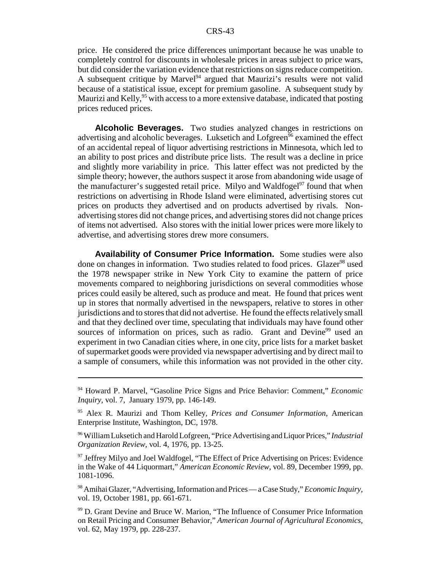price. He considered the price differences unimportant because he was unable to completely control for discounts in wholesale prices in areas subject to price wars, but did consider the variation evidence that restrictions on signs reduce competition. A subsequent critique by Marvel<sup>94</sup> argued that Maurizi's results were not valid because of a statistical issue, except for premium gasoline. A subsequent study by Maurizi and Kelly,  $95$  with access to a more extensive database, indicated that posting prices reduced prices.

**Alcoholic Beverages.** Two studies analyzed changes in restrictions on advertising and alcoholic beverages. Luksetich and Lofgreen<sup>96</sup> examined the effect of an accidental repeal of liquor advertising restrictions in Minnesota, which led to an ability to post prices and distribute price lists. The result was a decline in price and slightly more variability in price. This latter effect was not predicted by the simple theory; however, the authors suspect it arose from abandoning wide usage of the manufacturer's suggested retail price. Milyo and Waldfogel<sup>97</sup> found that when restrictions on advertising in Rhode Island were eliminated, advertising stores cut prices on products they advertised and on products advertised by rivals. Nonadvertising stores did not change prices, and advertising stores did not change prices of items not advertised. Also stores with the initial lower prices were more likely to advertise, and advertising stores drew more consumers.

**Availability of Consumer Price Information.** Some studies were also done on changes in information. Two studies related to food prices. Glazer<sup>98</sup> used the 1978 newspaper strike in New York City to examine the pattern of price movements compared to neighboring jurisdictions on several commodities whose prices could easily be altered, such as produce and meat. He found that prices went up in stores that normally advertised in the newspapers, relative to stores in other jurisdictions and to stores that did not advertise. He found the effects relatively small and that they declined over time, speculating that individuals may have found other sources of information on prices, such as radio. Grant and Devine<sup>99</sup> used an experiment in two Canadian cities where, in one city, price lists for a market basket of supermarket goods were provided via newspaper advertising and by direct mail to a sample of consumers, while this information was not provided in the other city.

<sup>94</sup> Howard P. Marvel, "Gasoline Price Signs and Price Behavior: Comment," *Economic Inquiry*, vol. 7, January 1979, pp. 146-149.

<sup>95</sup> Alex R. Maurizi and Thom Kelley, *Prices and Consumer Information*, American Enterprise Institute, Washington, DC, 1978.

<sup>96</sup> William Luksetich and Harold Lofgreen, "Price Advertising and Liquor Prices," *Industrial Organization Review*, vol. 4, 1976, pp. 13-25.

 $97$  Jeffrey Milyo and Joel Waldfogel, "The Effect of Price Advertising on Prices: Evidence in the Wake of 44 Liquormart," *American Economic Review*, vol. 89, December 1999, pp. 1081-1096.

<sup>98</sup> Amihai Glazer, "Advertising, Information and Prices — a Case Study," *Economic Inquiry*, vol. 19, October 1981, pp. 661-671.

<sup>99</sup> D. Grant Devine and Bruce W. Marion, "The Influence of Consumer Price Information on Retail Pricing and Consumer Behavior," *American Journal of Agricultural Economics*, vol. 62, May 1979, pp. 228-237.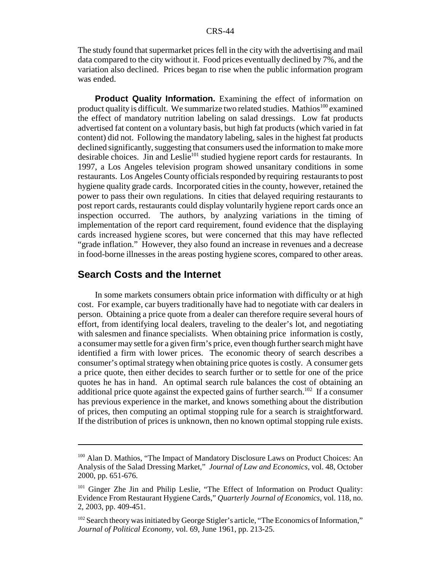The study found that supermarket prices fell in the city with the advertising and mail data compared to the city without it. Food prices eventually declined by 7%, and the variation also declined. Prices began to rise when the public information program was ended.

**Product Quality Information.** Examining the effect of information on product quality is difficult. We summarize two related studies. Mathios<sup>100</sup> examined the effect of mandatory nutrition labeling on salad dressings. Low fat products advertised fat content on a voluntary basis, but high fat products (which varied in fat content) did not. Following the mandatory labeling, sales in the highest fat products declined significantly, suggesting that consumers used the information to make more desirable choices. Jin and Leslie<sup>101</sup> studied hygiene report cards for restaurants. In 1997, a Los Angeles television program showed unsanitary conditions in some restaurants. Los Angeles County officials responded by requiring restaurants to post hygiene quality grade cards. Incorporated cities in the county, however, retained the power to pass their own regulations. In cities that delayed requiring restaurants to post report cards, restaurants could display voluntarily hygiene report cards once an inspection occurred. The authors, by analyzing variations in the timing of implementation of the report card requirement, found evidence that the displaying cards increased hygiene scores, but were concerned that this may have reflected "grade inflation." However, they also found an increase in revenues and a decrease in food-borne illnesses in the areas posting hygiene scores, compared to other areas.

#### **Search Costs and the Internet**

In some markets consumers obtain price information with difficulty or at high cost. For example, car buyers traditionally have had to negotiate with car dealers in person. Obtaining a price quote from a dealer can therefore require several hours of effort, from identifying local dealers, traveling to the dealer's lot, and negotiating with salesmen and finance specialists. When obtaining price information is costly, a consumer may settle for a given firm's price, even though further search might have identified a firm with lower prices. The economic theory of search describes a consumer's optimal strategy when obtaining price quotes is costly. A consumer gets a price quote, then either decides to search further or to settle for one of the price quotes he has in hand. An optimal search rule balances the cost of obtaining an additional price quote against the expected gains of further search.<sup>102</sup> If a consumer has previous experience in the market, and knows something about the distribution of prices, then computing an optimal stopping rule for a search is straightforward. If the distribution of prices is unknown, then no known optimal stopping rule exists.

<sup>&</sup>lt;sup>100</sup> Alan D. Mathios, "The Impact of Mandatory Disclosure Laws on Product Choices: An Analysis of the Salad Dressing Market," *Journal of Law and Economics*, vol. 48, October 2000, pp. 651-676.

<sup>101</sup> Ginger Zhe Jin and Philip Leslie, "The Effect of Information on Product Quality: Evidence From Restaurant Hygiene Cards," *Quarterly Journal of Economics*, vol. 118, no. 2, 2003, pp. 409-451.

<sup>&</sup>lt;sup>102</sup> Search theory was initiated by George Stigler's article, "The Economics of Information," *Journal of Political Economy,* vol. 69, June 1961, pp. 213-25.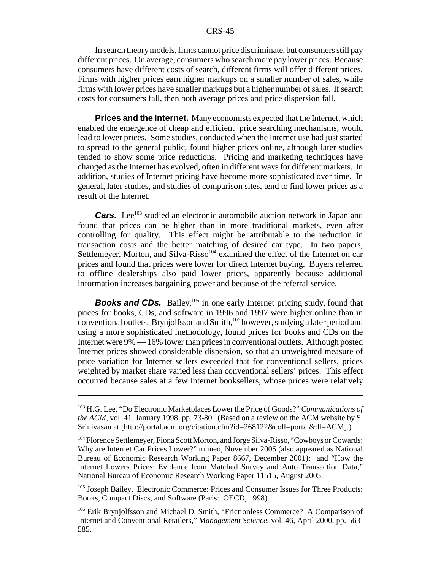In search theory models, firms cannot price discriminate, but consumers still pay different prices. On average, consumers who search more pay lower prices. Because consumers have different costs of search, different firms will offer different prices. Firms with higher prices earn higher markups on a smaller number of sales, while firms with lower prices have smaller markups but a higher number of sales. If search costs for consumers fall, then both average prices and price dispersion fall.

**Prices and the Internet.** Many economists expected that the Internet, which enabled the emergence of cheap and efficient price searching mechanisms, would lead to lower prices. Some studies, conducted when the Internet use had just started to spread to the general public, found higher prices online, although later studies tended to show some price reductions. Pricing and marketing techniques have changed as the Internet has evolved, often in different ways for different markets. In addition, studies of Internet pricing have become more sophisticated over time. In general, later studies, and studies of comparison sites, tend to find lower prices as a result of the Internet.

*Cars.* Lee<sup>103</sup> studied an electronic automobile auction network in Japan and found that prices can be higher than in more traditional markets, even after controlling for quality. This effect might be attributable to the reduction in transaction costs and the better matching of desired car type. In two papers, Settlemeyer, Morton, and Silva-Risso<sup>104</sup> examined the effect of the Internet on car prices and found that prices were lower for direct Internet buying. Buyers referred to offline dealerships also paid lower prices, apparently because additional information increases bargaining power and because of the referral service.

*Books and CDs.* Bailey,<sup>105</sup> in one early Internet pricing study, found that prices for books, CDs, and software in 1996 and 1997 were higher online than in conventional outlets. Brynjolfsson and Smith,<sup>106</sup> however, studying a later period and using a more sophisticated methodology, found prices for books and CDs on the Internet were 9% — 16% lower than prices in conventional outlets. Although posted Internet prices showed considerable dispersion, so that an unweighted measure of price variation for Internet sellers exceeded that for conventional sellers, prices weighted by market share varied less than conventional sellers' prices. This effect occurred because sales at a few Internet booksellers, whose prices were relatively

<sup>105</sup> Joseph Bailey, Electronic Commerce: Prices and Consumer Issues for Three Products: Books, Compact Discs, and Software (Paris: OECD, 1998).

<sup>103</sup> H.G. Lee, "Do Electronic Marketplaces Lower the Price of Goods?" *Communications of the ACM*, vol. 41, January 1998, pp. 73-80. (Based on a review on the ACM website by S. Srinivasan at [http://portal.acm.org/citation.cfm?id=268122&coll=portal&dl=ACM].)

<sup>104</sup> Florence Settlemeyer, Fiona Scott Morton, and Jorge Silva-Risso, "Cowboys or Cowards: Why are Internet Car Prices Lower?" mimeo, November 2005 (also appeared as National Bureau of Economic Research Working Paper 8667, December 2001); and "How the Internet Lowers Prices: Evidence from Matched Survey and Auto Transaction Data," National Bureau of Economic Research Working Paper 11515, August 2005.

<sup>106</sup> Erik Brynjolfsson and Michael D. Smith, "Frictionless Commerce? A Comparison of Internet and Conventional Retailers," *Management Science*, vol. 46, April 2000, pp. 563- 585.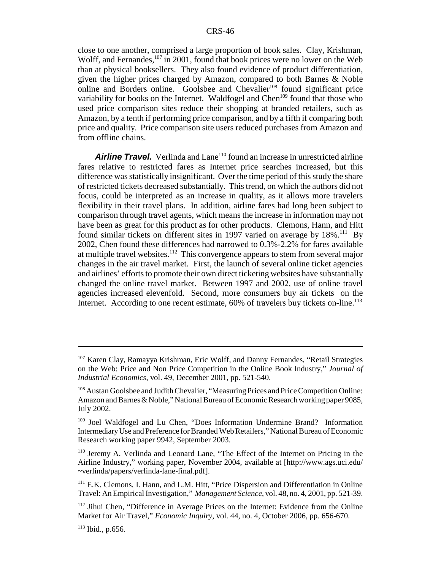close to one another, comprised a large proportion of book sales. Clay, Krishman, Wolff, and Fernandes,<sup>107</sup> in 2001, found that book prices were no lower on the Web than at physical booksellers. They also found evidence of product differentiation, given the higher prices charged by Amazon, compared to both Barnes & Noble online and Borders online. Goolsbee and Chevalier<sup>108</sup> found significant price variability for books on the Internet. Waldfogel and Chen<sup>109</sup> found that those who used price comparison sites reduce their shopping at branded retailers, such as Amazon, by a tenth if performing price comparison, and by a fifth if comparing both price and quality. Price comparison site users reduced purchases from Amazon and from offline chains.

**Airline Travel.** Verlinda and Lane<sup>110</sup> found an increase in unrestricted airline fares relative to restricted fares as Internet price searches increased, but this difference was statistically insignificant. Over the time period of this study the share of restricted tickets decreased substantially. This trend, on which the authors did not focus, could be interpreted as an increase in quality, as it allows more travelers flexibility in their travel plans. In addition, airline fares had long been subject to comparison through travel agents, which means the increase in information may not have been as great for this product as for other products. Clemons, Hann, and Hitt found similar tickets on different sites in 1997 varied on average by  $18\%$ .<sup>111</sup> By 2002, Chen found these differences had narrowed to 0.3%-2.2% for fares available at multiple travel websites.112 This convergence appears to stem from several major changes in the air travel market. First, the launch of several online ticket agencies and airlines' efforts to promote their own direct ticketing websites have substantially changed the online travel market. Between 1997 and 2002, use of online travel agencies increased elevenfold. Second, more consumers buy air tickets on the Internet. According to one recent estimate,  $60\%$  of travelers buy tickets on-line.<sup>113</sup>

<sup>&</sup>lt;sup>107</sup> Karen Clay, Ramayya Krishman, Eric Wolff, and Danny Fernandes, "Retail Strategies on the Web: Price and Non Price Competition in the Online Book Industry," *Journal of Industrial Economics*, vol. 49, December 2001, pp. 521-540.

<sup>108</sup> Austan Goolsbee and Judith Chevalier, "Measuring Prices and Price Competition Online: Amazon and Barnes & Noble," National Bureau of Economic Research working paper 9085, July 2002.

<sup>109</sup> Joel Waldfogel and Lu Chen, "Does Information Undermine Brand? Information Intermediary Use and Preference for Branded Web Retailers," National Bureau of Economic Research working paper 9942, September 2003.

<sup>110</sup> Jeremy A. Verlinda and Leonard Lane, "The Effect of the Internet on Pricing in the Airline Industry," working paper, November 2004, available at [http://www.ags.uci.edu/ ~verlinda/papers/verlinda-lane-final.pdf].

<sup>&</sup>lt;sup>111</sup> E.K. Clemons, I. Hann, and L.M. Hitt, "Price Dispersion and Differentiation in Online Travel: An Empirical Investigation," *Management Science*, vol. 48, no. 4, 2001, pp. 521-39.

<sup>&</sup>lt;sup>112</sup> Jihui Chen, "Difference in Average Prices on the Internet: Evidence from the Online Market for Air Travel," *Economic Inquiry*, vol. 44, no. 4, October 2006, pp. 656-670.

<sup>113</sup> Ibid., p.656.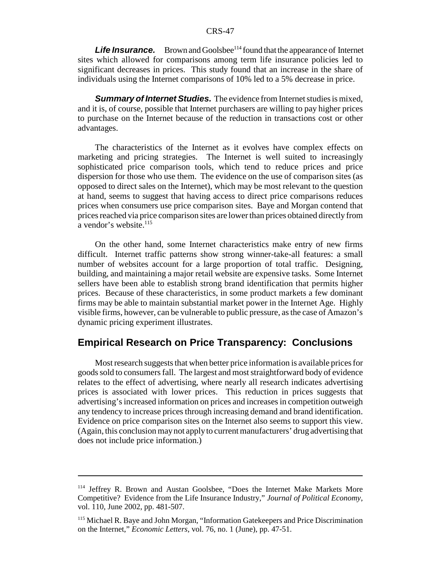**Life Insurance.** Brown and Goolsbee<sup>114</sup> found that the appearance of Internet sites which allowed for comparisons among term life insurance policies led to significant decreases in prices. This study found that an increase in the share of individuals using the Internet comparisons of 10% led to a 5% decrease in price.

*Summary of Internet Studies.* The evidence from Internet studies is mixed, and it is, of course, possible that Internet purchasers are willing to pay higher prices to purchase on the Internet because of the reduction in transactions cost or other advantages.

The characteristics of the Internet as it evolves have complex effects on marketing and pricing strategies. The Internet is well suited to increasingly sophisticated price comparison tools, which tend to reduce prices and price dispersion for those who use them. The evidence on the use of comparison sites (as opposed to direct sales on the Internet), which may be most relevant to the question at hand, seems to suggest that having access to direct price comparisons reduces prices when consumers use price comparison sites. Baye and Morgan contend that prices reached via price comparison sites are lower than prices obtained directly from a vendor's website. $115$ 

On the other hand, some Internet characteristics make entry of new firms difficult. Internet traffic patterns show strong winner-take-all features: a small number of websites account for a large proportion of total traffic. Designing, building, and maintaining a major retail website are expensive tasks. Some Internet sellers have been able to establish strong brand identification that permits higher prices. Because of these characteristics, in some product markets a few dominant firms may be able to maintain substantial market power in the Internet Age. Highly visible firms, however, can be vulnerable to public pressure, as the case of Amazon's dynamic pricing experiment illustrates.

# **Empirical Research on Price Transparency: Conclusions**

Most research suggests that when better price information is available prices for goods sold to consumers fall. The largest and most straightforward body of evidence relates to the effect of advertising, where nearly all research indicates advertising prices is associated with lower prices. This reduction in prices suggests that advertising's increased information on prices and increases in competition outweigh any tendency to increase prices through increasing demand and brand identification. Evidence on price comparison sites on the Internet also seems to support this view. (Again, this conclusion may not apply to current manufacturers' drug advertising that does not include price information.)

<sup>114</sup> Jeffrey R. Brown and Austan Goolsbee, "Does the Internet Make Markets More Competitive? Evidence from the Life Insurance Industry," *Journal of Political Economy*, vol. 110, June 2002, pp. 481-507.

<sup>115</sup> Michael R. Baye and John Morgan, "Information Gatekeepers and Price Discrimination on the Internet," *Economic Letters*, vol. 76, no. 1 (June), pp. 47-51.